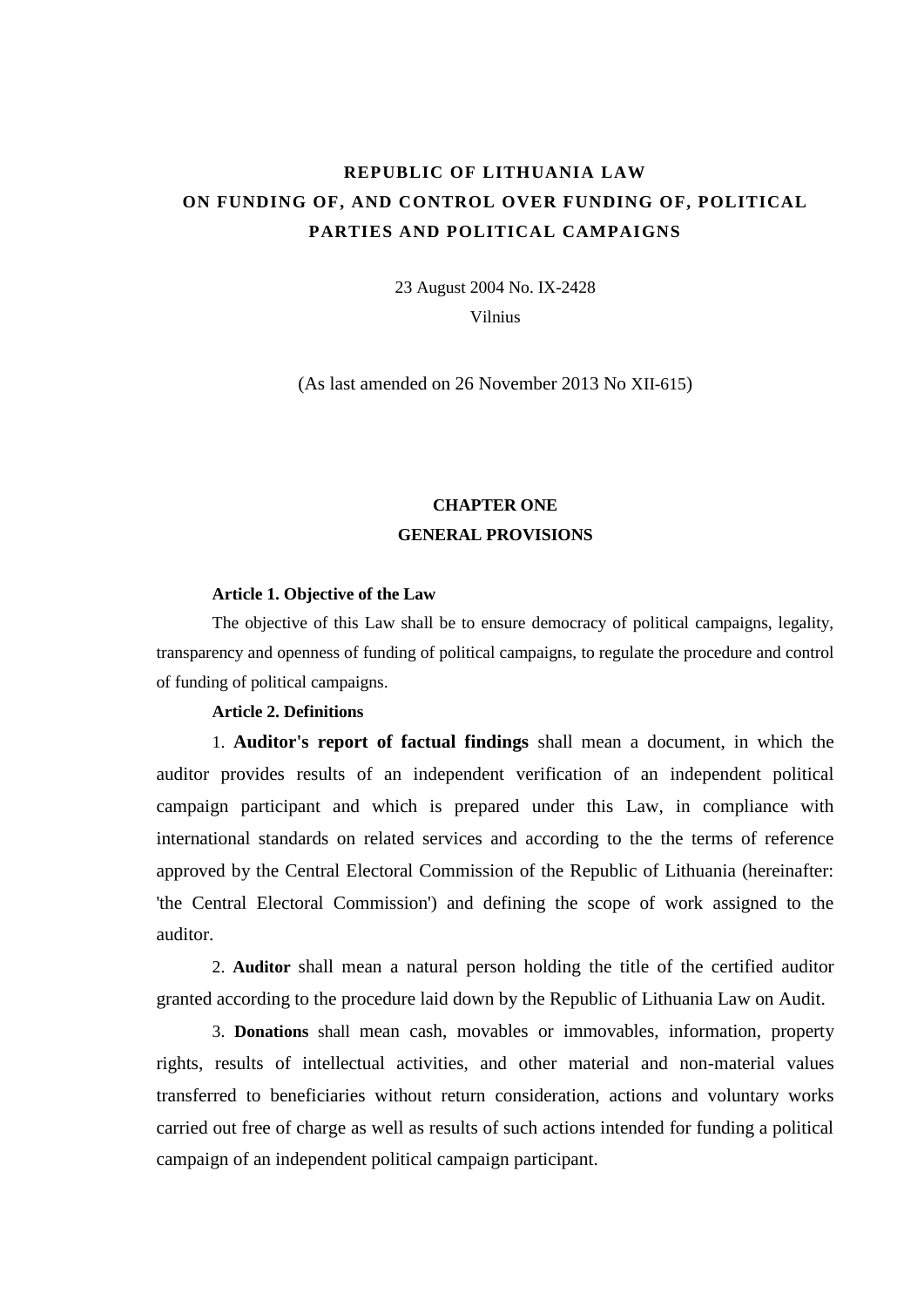# **REPUBLIC OF LITHUANIA LAW ON FUNDING OF, AND CONTROL OVER FUNDING OF, POLITICAL PARTIES AND POLITICAL CAMPAIGNS**

23 August 2004 No. IX-2428

Vilnius

(As last amended on 26 November 2013 No XII-615)

# **CHAPTER ONE GENERAL PROVISIONS**

# **Article 1. Objective of the Law**

The objective of this Law shall be to ensure democracy of political campaigns, legality, transparency and openness of funding of political campaigns, to regulate the procedure and control of funding of political campaigns.

# **Article 2. Definitions**

1. **Auditor's report of factual findings** shall mean a document, in which the auditor provides results of an independent verification of an independent political campaign participant and which is prepared under this Law, in compliance with international standards on related services and according to the the terms of reference approved by the Central Electoral Commission of the Republic of Lithuania (hereinafter: 'the Central Electoral Commission') and defining the scope of work assigned to the auditor.

2. **Auditor** shall mean a natural person holding the title of the certified auditor granted according to the procedure laid down by the Republic of Lithuania Law on Audit.

3. **Donations** shall mean cash, movables or immovables, information, property rights, results of intellectual activities, and other material and non-material values transferred to beneficiaries without return consideration, actions and voluntary works carried out free of charge as well as results of such actions intended for funding a political campaign of an independent political campaign participant.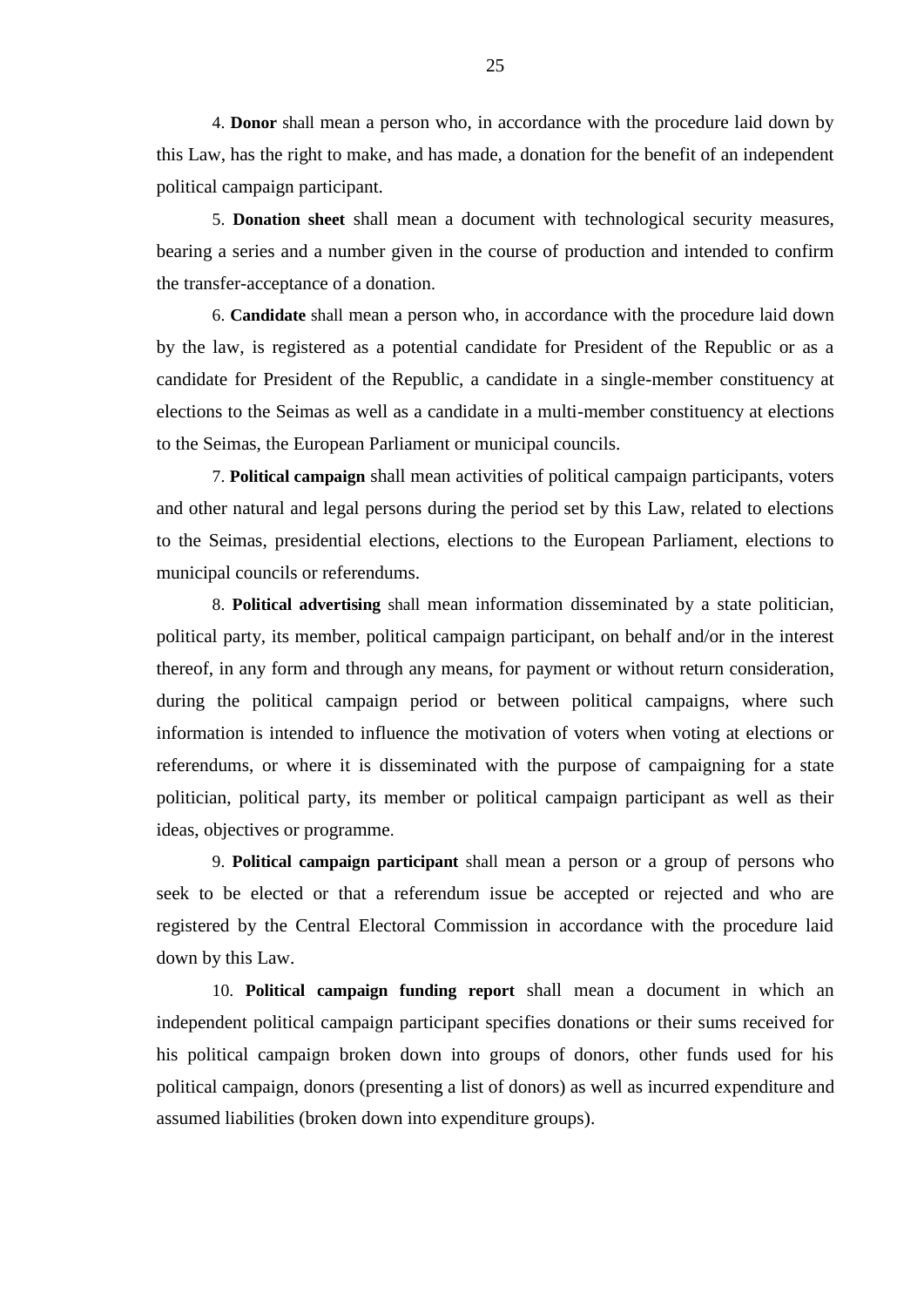4. **Donor** shall mean a person who, in accordance with the procedure laid down by this Law, has the right to make, and has made, a donation for the benefit of an independent political campaign participant.

5. **Donation sheet** shall mean a document with technological security measures, bearing a series and a number given in the course of production and intended to confirm the transfer-acceptance of a donation.

6. **Candidate** shall mean a person who, in accordance with the procedure laid down by the law, is registered as a potential candidate for President of the Republic or as a candidate for President of the Republic, a candidate in a single-member constituency at elections to the Seimas as well as a candidate in a multi-member constituency at elections to the Seimas, the European Parliament or municipal councils.

7. **Political campaign** shall mean activities of political campaign participants, voters and other natural and legal persons during the period set by this Law, related to elections to the Seimas, presidential elections, elections to the European Parliament, elections to municipal councils or referendums.

8. **Political advertising** shall mean information disseminated by a state politician, political party, its member, political campaign participant, on behalf and/or in the interest thereof, in any form and through any means, for payment or without return consideration, during the political campaign period or between political campaigns, where such information is intended to influence the motivation of voters when voting at elections or referendums, or where it is disseminated with the purpose of campaigning for a state politician, political party, its member or political campaign participant as well as their ideas, objectives or programme.

9. **Political campaign participant** shall mean a person or a group of persons who seek to be elected or that a referendum issue be accepted or rejected and who are registered by the Central Electoral Commission in accordance with the procedure laid down by this Law.

10. **Political campaign funding report** shall mean a document in which an independent political campaign participant specifies donations or their sums received for his political campaign broken down into groups of donors, other funds used for his political campaign, donors (presenting a list of donors) as well as incurred expenditure and assumed liabilities (broken down into expenditure groups).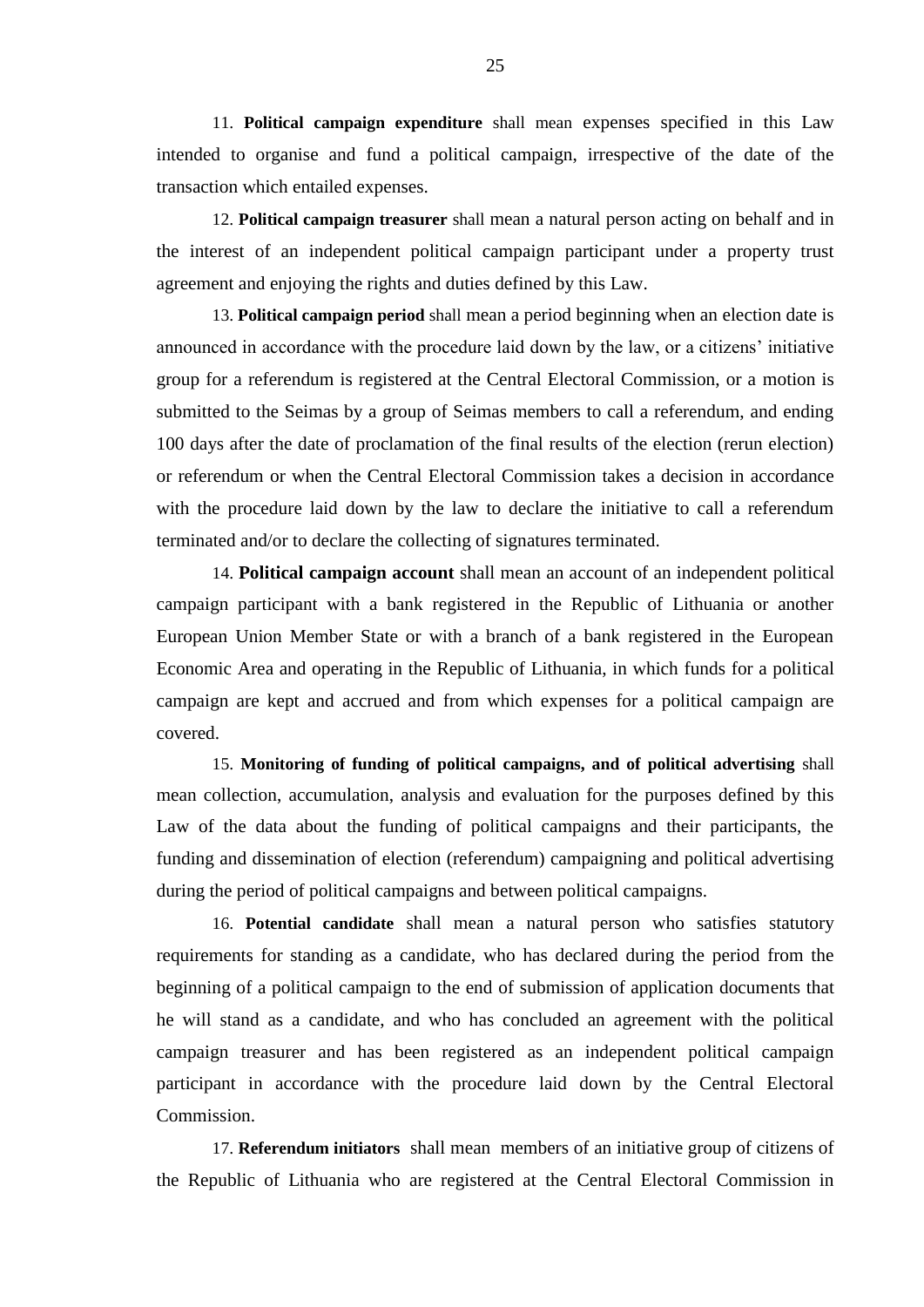11. **Political campaign expenditure** shall mean expenses specified in this Law intended to organise and fund a political campaign, irrespective of the date of the transaction which entailed expenses.

12. **Political campaign treasurer** shall mean a natural person acting on behalf and in the interest of an independent political campaign participant under a property trust agreement and enjoying the rights and duties defined by this Law.

13. **Political campaign period** shall mean a period beginning when an election date is announced in accordance with the procedure laid down by the law, or a citizens' initiative group for a referendum is registered at the Central Electoral Commission, or a motion is submitted to the Seimas by a group of Seimas members to call a referendum, and ending 100 days after the date of proclamation of the final results of the election (rerun election) or referendum or when the Central Electoral Commission takes a decision in accordance with the procedure laid down by the law to declare the initiative to call a referendum terminated and/or to declare the collecting of signatures terminated.

14. **Political campaign account** shall mean an account of an independent political campaign participant with a bank registered in the Republic of Lithuania or another European Union Member State or with a branch of a bank registered in the European Economic Area and operating in the Republic of Lithuania, in which funds for a political campaign are kept and accrued and from which expenses for a political campaign are covered.

15. **Monitoring of funding of political campaigns, and of political advertising** shall mean collection, accumulation, analysis and evaluation for the purposes defined by this Law of the data about the funding of political campaigns and their participants, the funding and dissemination of election (referendum) campaigning and political advertising during the period of political campaigns and between political campaigns.

16. **Potential candidate** shall mean a natural person who satisfies statutory requirements for standing as a candidate, who has declared during the period from the beginning of a political campaign to the end of submission of application documents that he will stand as a candidate, and who has concluded an agreement with the political campaign treasurer and has been registered as an independent political campaign participant in accordance with the procedure laid down by the Central Electoral Commission.

17. **Referendum initiators** shall mean members of an initiative group of citizens of the Republic of Lithuania who are registered at the Central Electoral Commission in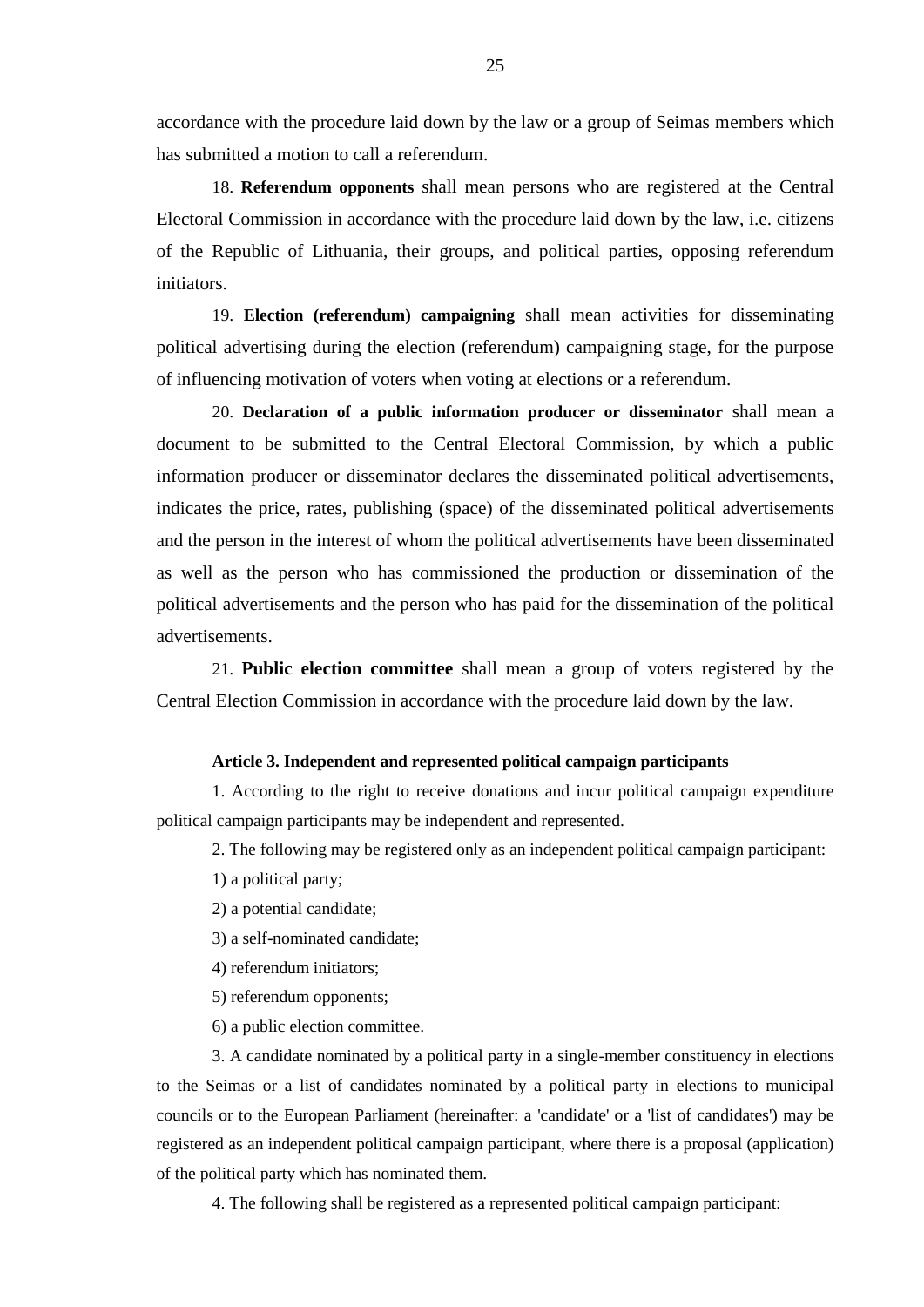accordance with the procedure laid down by the law or a group of Seimas members which has submitted a motion to call a referendum.

18. **Referendum opponents** shall mean persons who are registered at the Central Electoral Commission in accordance with the procedure laid down by the law, i.e. citizens of the Republic of Lithuania, their groups, and political parties, opposing referendum initiators.

19. **Election (referendum) campaigning** shall mean activities for disseminating political advertising during the election (referendum) campaigning stage, for the purpose of influencing motivation of voters when voting at elections or a referendum.

20. **Declaration of a public information producer or disseminator** shall mean a document to be submitted to the Central Electoral Commission, by which a public information producer or disseminator declares the disseminated political advertisements, indicates the price, rates, publishing (space) of the disseminated political advertisements and the person in the interest of whom the political advertisements have been disseminated as well as the person who has commissioned the production or dissemination of the political advertisements and the person who has paid for the dissemination of the political advertisements.

21. **Public election committee** shall mean a group of voters registered by the Central Election Commission in accordance with the procedure laid down by the law.

#### **Article 3. Independent and represented political campaign participants**

1. According to the right to receive donations and incur political campaign expenditure political campaign participants may be independent and represented.

2. The following may be registered only as an independent political campaign participant:

1) a political party;

- 2) a potential candidate;
- 3) a self-nominated candidate;

4) referendum initiators;

5) referendum opponents;

6) a public election committee.

3. A candidate nominated by a political party in a single-member constituency in elections to the Seimas or a list of candidates nominated by a political party in elections to municipal councils or to the European Parliament (hereinafter: a 'candidate' or a 'list of candidates') may be registered as an independent political campaign participant, where there is a proposal (application) of the political party which has nominated them.

4. The following shall be registered as a represented political campaign participant: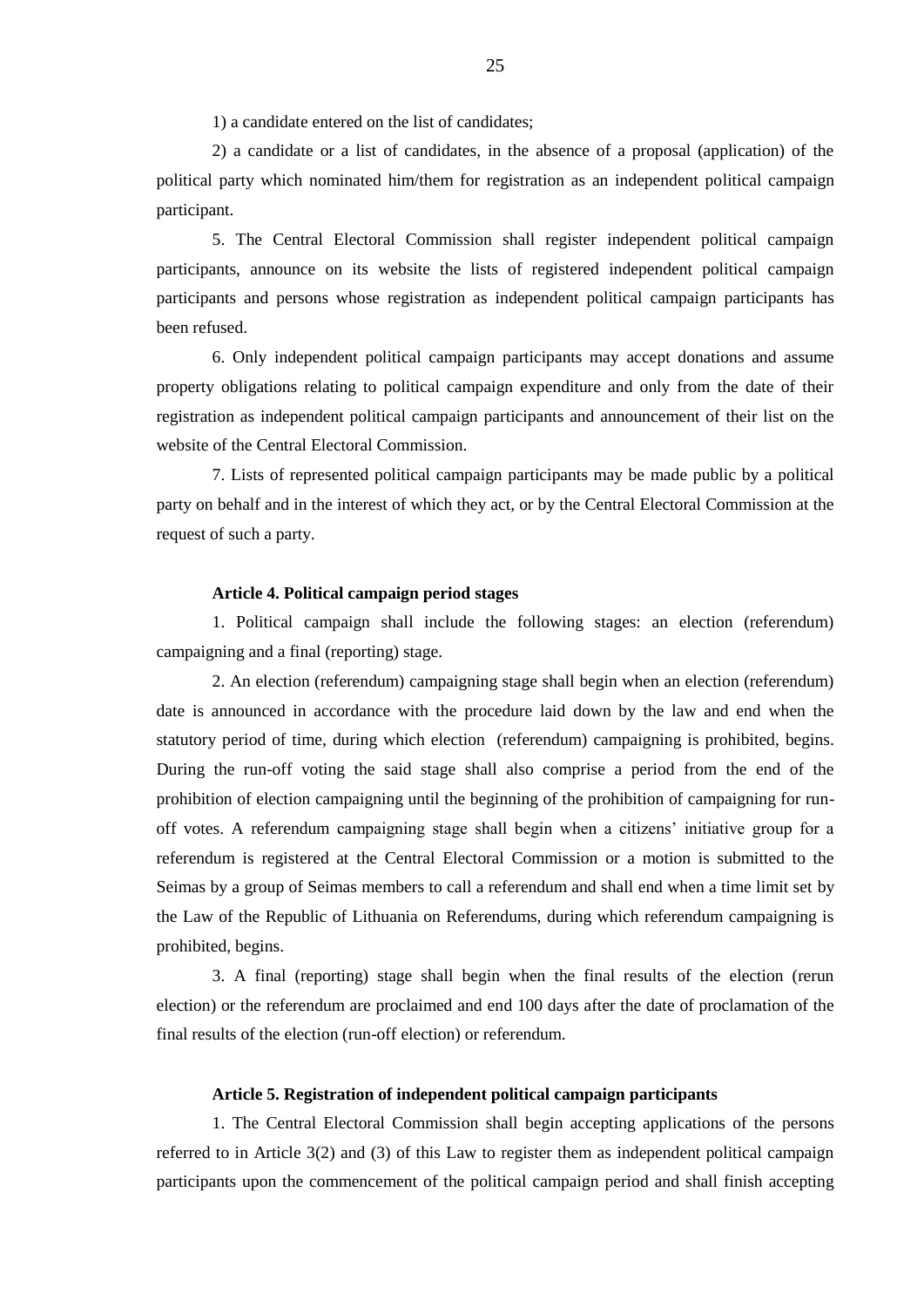1) a candidate entered on the list of candidates;

2) a candidate or a list of candidates, in the absence of a proposal (application) of the political party which nominated him/them for registration as an independent political campaign participant.

5. The Central Electoral Commission shall register independent political campaign participants, announce on its website the lists of registered independent political campaign participants and persons whose registration as independent political campaign participants has been refused.

6. Only independent political campaign participants may accept donations and assume property obligations relating to political campaign expenditure and only from the date of their registration as independent political campaign participants and announcement of their list on the website of the Central Electoral Commission.

7. Lists of represented political campaign participants may be made public by a political party on behalf and in the interest of which they act, or by the Central Electoral Commission at the request of such a party.

## **Article 4. Political campaign period stages**

1. Political campaign shall include the following stages: an election (referendum) campaigning and a final (reporting) stage.

2. An election (referendum) campaigning stage shall begin when an election (referendum) date is announced in accordance with the procedure laid down by the law and end when the statutory period of time, during which election (referendum) campaigning is prohibited, begins. During the run-off voting the said stage shall also comprise a period from the end of the prohibition of election campaigning until the beginning of the prohibition of campaigning for runoff votes. A referendum campaigning stage shall begin when a citizens' initiative group for a referendum is registered at the Central Electoral Commission or a motion is submitted to the Seimas by a group of Seimas members to call a referendum and shall end when a time limit set by the Law of the Republic of Lithuania on Referendums, during which referendum campaigning is prohibited, begins.

3. A final (reporting) stage shall begin when the final results of the election (rerun election) or the referendum are proclaimed and end 100 days after the date of proclamation of the final results of the election (run-off election) or referendum.

#### **Article 5. Registration of independent political campaign participants**

1. The Central Electoral Commission shall begin accepting applications of the persons referred to in Article 3(2) and (3) of this Law to register them as independent political campaign participants upon the commencement of the political campaign period and shall finish accepting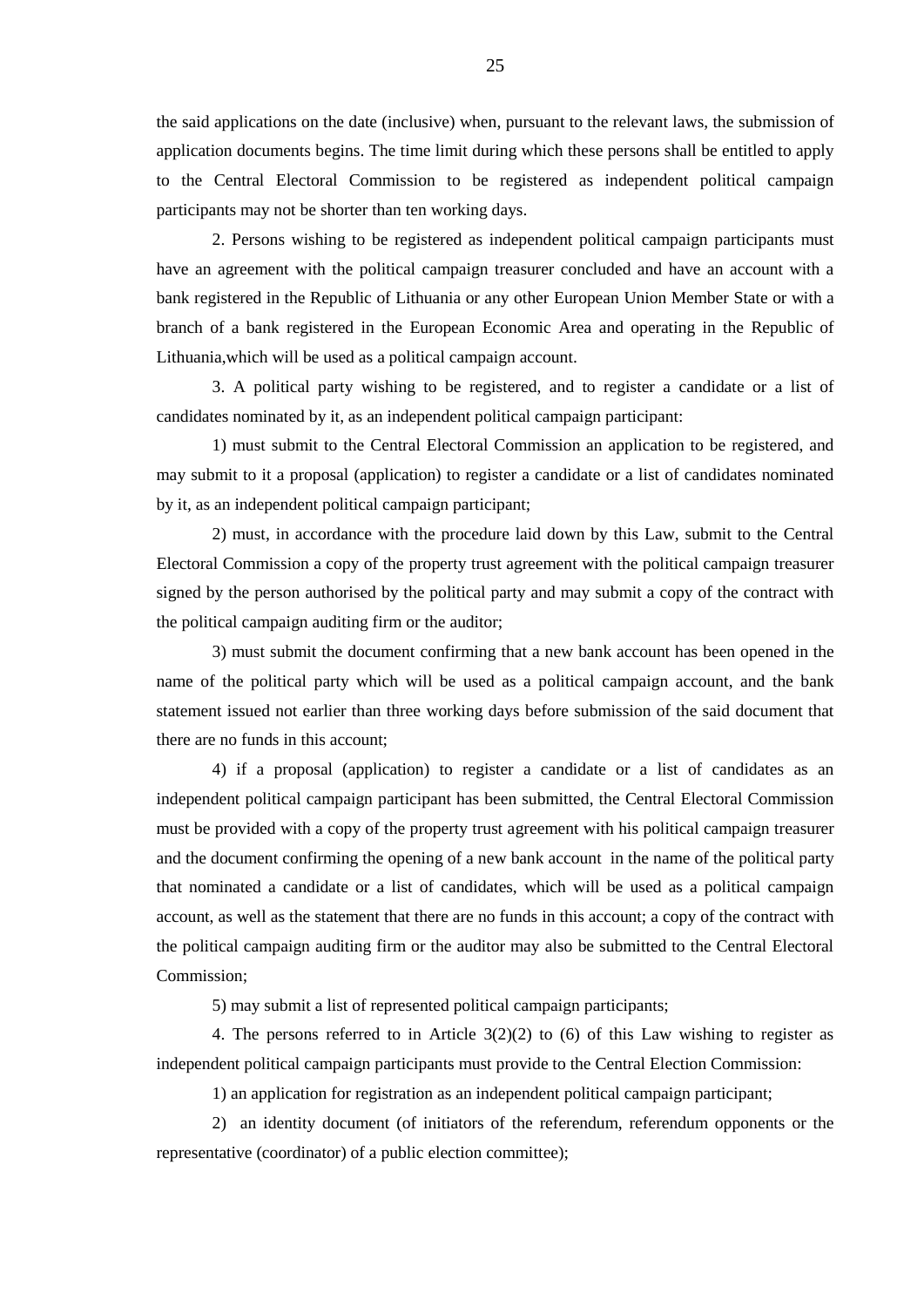the said applications on the date (inclusive) when, pursuant to the relevant laws, the submission of application documents begins. The time limit during which these persons shall be entitled to apply to the Central Electoral Commission to be registered as independent political campaign participants may not be shorter than ten working days.

2. Persons wishing to be registered as independent political campaign participants must have an agreement with the political campaign treasurer concluded and have an account with a bank registered in the Republic of Lithuania or any other European Union Member State or with a branch of a bank registered in the European Economic Area and operating in the Republic of Lithuania,which will be used as a political campaign account.

3. A political party wishing to be registered, and to register a candidate or a list of candidates nominated by it, as an independent political campaign participant:

1) must submit to the Central Electoral Commission an application to be registered, and may submit to it a proposal (application) to register a candidate or a list of candidates nominated by it, as an independent political campaign participant;

2) must, in accordance with the procedure laid down by this Law, submit to the Central Electoral Commission a copy of the property trust agreement with the political campaign treasurer signed by the person authorised by the political party and may submit a copy of the contract with the political campaign auditing firm or the auditor;

3) must submit the document confirming that a new bank account has been opened in the name of the political party which will be used as a political campaign account, and the bank statement issued not earlier than three working days before submission of the said document that there are no funds in this account;

4) if a proposal (application) to register a candidate or a list of candidates as an independent political campaign participant has been submitted, the Central Electoral Commission must be provided with a copy of the property trust agreement with his political campaign treasurer and the document confirming the opening of a new bank account in the name of the political party that nominated a candidate or a list of candidates, which will be used as a political campaign account, as well as the statement that there are no funds in this account; a copy of the contract with the political campaign auditing firm or the auditor may also be submitted to the Central Electoral Commission;

5) may submit a list of represented political campaign participants;

4. The persons referred to in Article  $3(2)(2)$  to (6) of this Law wishing to register as independent political campaign participants must provide to the Central Election Commission:

1) an application for registration as an independent political campaign participant;

2) an identity document (of initiators of the referendum, referendum opponents or the representative (coordinator) of a public election committee);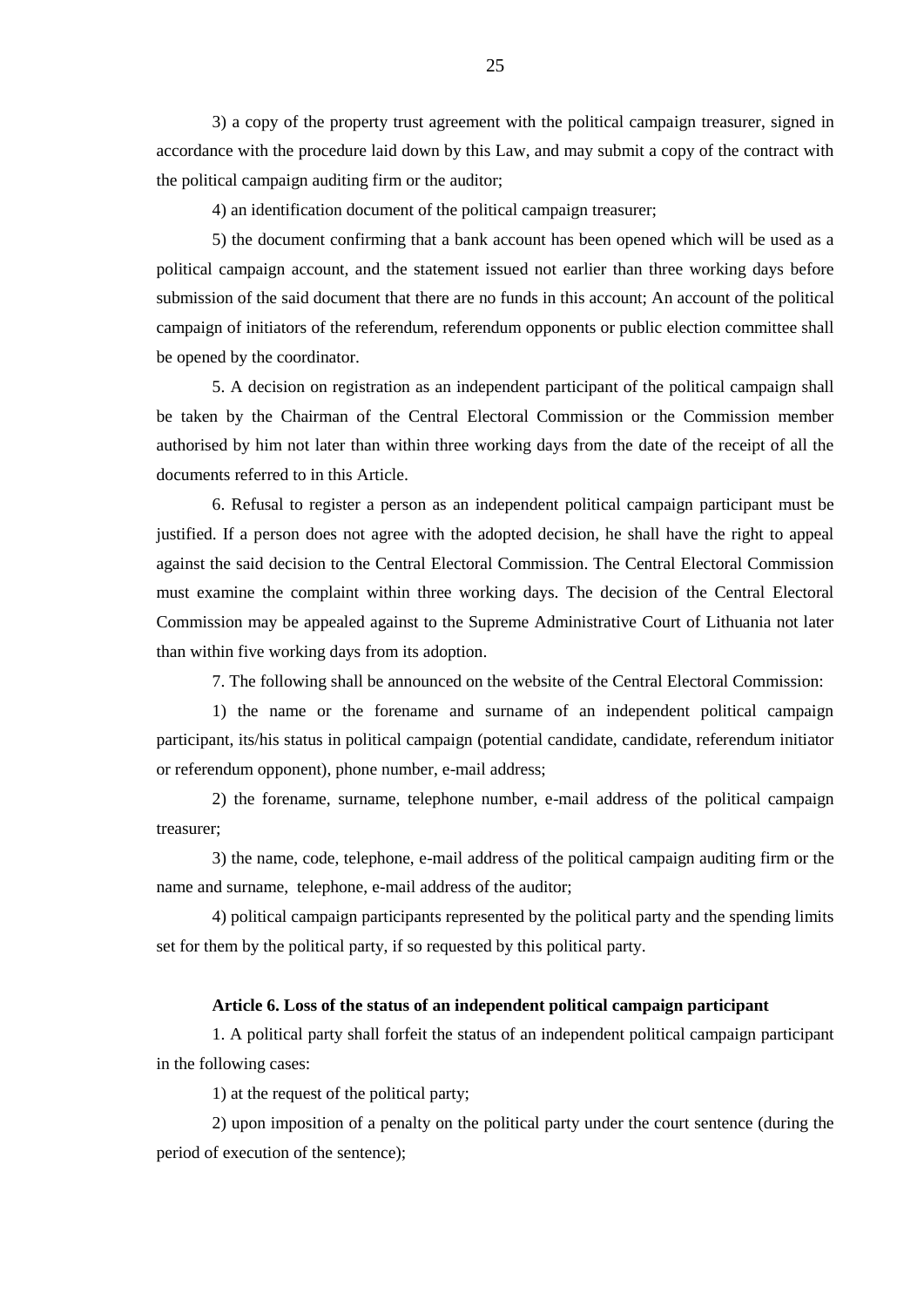3) a copy of the property trust agreement with the political campaign treasurer, signed in accordance with the procedure laid down by this Law, and may submit a copy of the contract with the political campaign auditing firm or the auditor;

4) an identification document of the political campaign treasurer;

5) the document confirming that a bank account has been opened which will be used as a political campaign account, and the statement issued not earlier than three working days before submission of the said document that there are no funds in this account; An account of the political campaign of initiators of the referendum, referendum opponents or public election committee shall be opened by the coordinator.

5. A decision on registration as an independent participant of the political campaign shall be taken by the Chairman of the Central Electoral Commission or the Commission member authorised by him not later than within three working days from the date of the receipt of all the documents referred to in this Article.

6. Refusal to register a person as an independent political campaign participant must be justified. If a person does not agree with the adopted decision, he shall have the right to appeal against the said decision to the Central Electoral Commission. The Central Electoral Commission must examine the complaint within three working days. The decision of the Central Electoral Commission may be appealed against to the Supreme Administrative Court of Lithuania not later than within five working days from its adoption.

7. The following shall be announced on the website of the Central Electoral Commission:

1) the name or the forename and surname of an independent political campaign participant, its/his status in political campaign (potential candidate, candidate, referendum initiator or referendum opponent), phone number, e-mail address;

2) the forename, surname, telephone number, e-mail address of the political campaign treasurer;

3) the name, code, telephone, e-mail address of the political campaign auditing firm or the name and surname, telephone, e-mail address of the auditor;

4) political campaign participants represented by the political party and the spending limits set for them by the political party, if so requested by this political party.

#### **Article 6. Loss of the status of an independent political campaign participant**

1. A political party shall forfeit the status of an independent political campaign participant in the following cases:

1) at the request of the political party;

2) upon imposition of a penalty on the political party under the court sentence (during the period of execution of the sentence);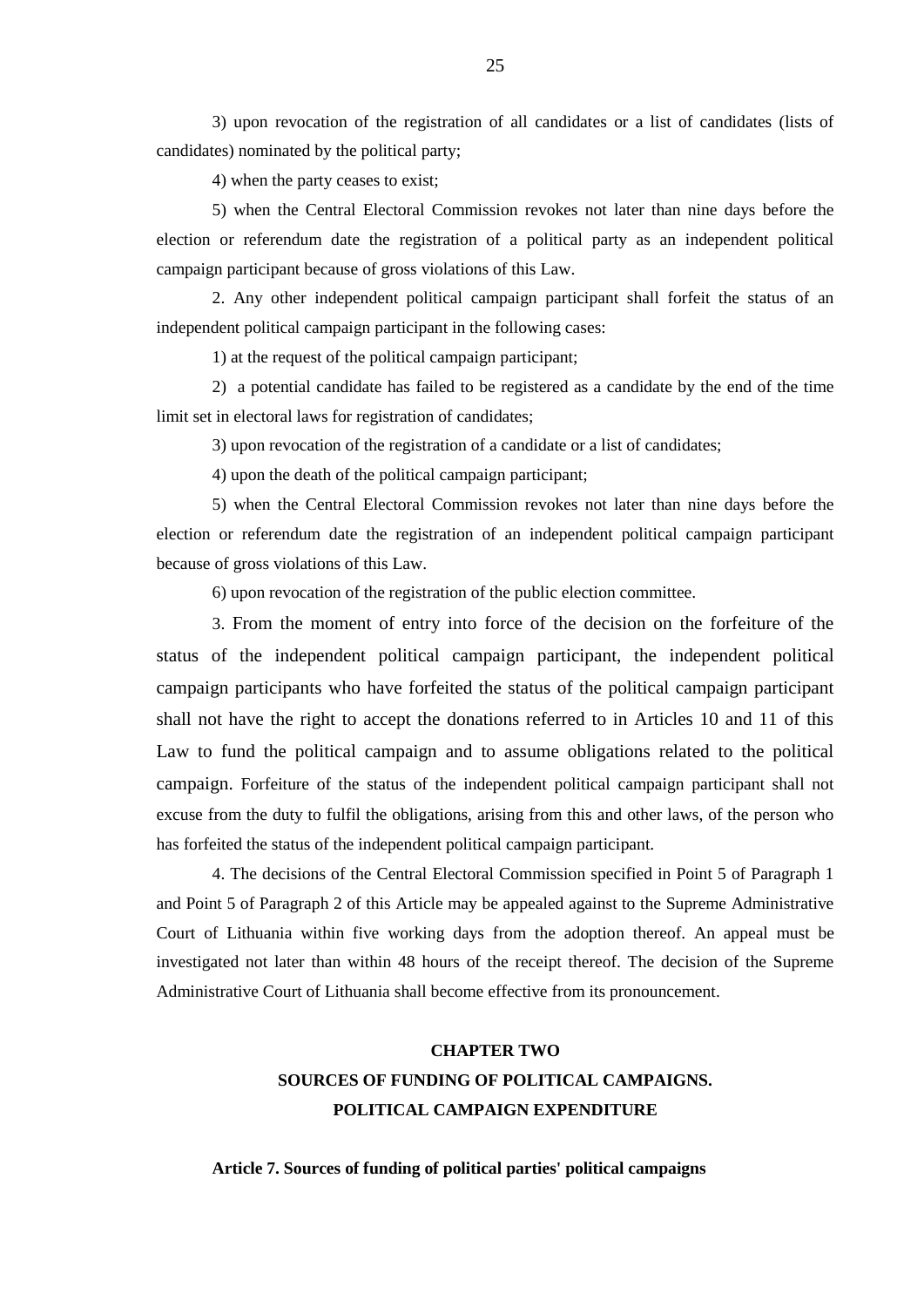3) upon revocation of the registration of all candidates or a list of candidates (lists of candidates) nominated by the political party;

4) when the party ceases to exist;

5) when the Central Electoral Commission revokes not later than nine days before the election or referendum date the registration of a political party as an independent political campaign participant because of gross violations of this Law.

2. Any other independent political campaign participant shall forfeit the status of an independent political campaign participant in the following cases:

1) at the request of the political campaign participant;

2) a potential candidate has failed to be registered as a candidate by the end of the time limit set in electoral laws for registration of candidates;

3) upon revocation of the registration of a candidate or a list of candidates;

4) upon the death of the political campaign participant;

5) when the Central Electoral Commission revokes not later than nine days before the election or referendum date the registration of an independent political campaign participant because of gross violations of this Law.

6) upon revocation of the registration of the public election committee.

3. From the moment of entry into force of the decision on the forfeiture of the status of the independent political campaign participant, the independent political campaign participants who have forfeited the status of the political campaign participant shall not have the right to accept the donations referred to in Articles 10 and 11 of this Law to fund the political campaign and to assume obligations related to the political campaign. Forfeiture of the status of the independent political campaign participant shall not excuse from the duty to fulfil the obligations, arising from this and other laws, of the person who has forfeited the status of the independent political campaign participant.

4. The decisions of the Central Electoral Commission specified in Point 5 of Paragraph 1 and Point 5 of Paragraph 2 of this Article may be appealed against to the Supreme Administrative Court of Lithuania within five working days from the adoption thereof. An appeal must be investigated not later than within 48 hours of the receipt thereof. The decision of the Supreme Administrative Court of Lithuania shall become effective from its pronouncement.

# **CHAPTER TWO SOURCES OF FUNDING OF POLITICAL CAMPAIGNS. POLITICAL CAMPAIGN EXPENDITURE**

**Article 7. Sources of funding of political parties' political campaigns**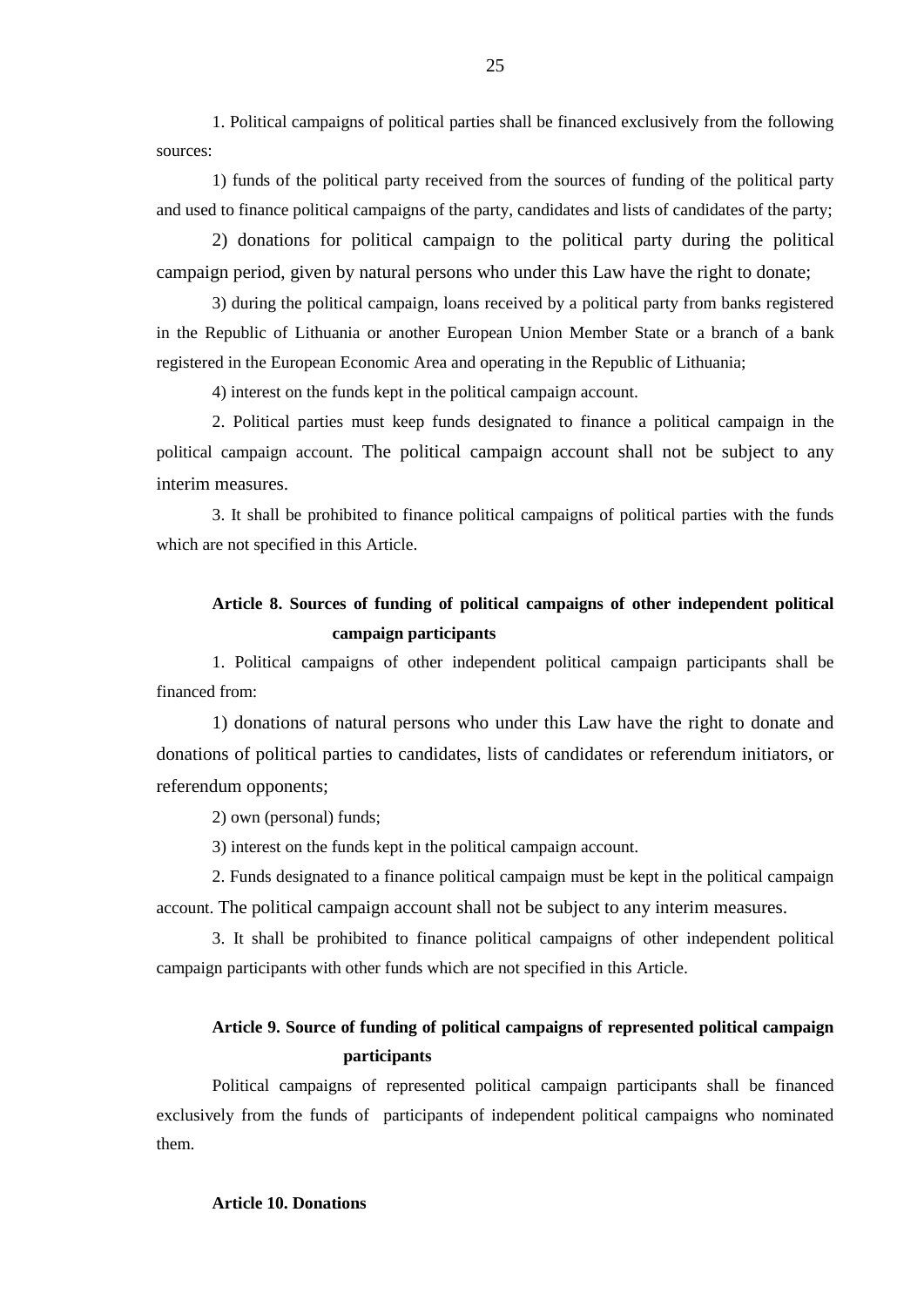1. Political campaigns of political parties shall be financed exclusively from the following sources:

1) funds of the political party received from the sources of funding of the political party and used to finance political campaigns of the party, candidates and lists of candidates of the party;

2) donations for political campaign to the political party during the political campaign period, given by natural persons who under this Law have the right to donate;

3) during the political campaign, loans received by a political party from banks registered in the Republic of Lithuania or another European Union Member State or a branch of a bank registered in the European Economic Area and operating in the Republic of Lithuania;

4) interest on the funds kept in the political campaign account.

2. Political parties must keep funds designated to finance a political campaign in the political campaign account. The political campaign account shall not be subject to any interim measures.

3. It shall be prohibited to finance political campaigns of political parties with the funds which are not specified in this Article.

# **Article 8. Sources of funding of political campaigns of other independent political campaign participants**

1. Political campaigns of other independent political campaign participants shall be financed from:

1) donations of natural persons who under this Law have the right to donate and donations of political parties to candidates, lists of candidates or referendum initiators, or referendum opponents;

2) own (personal) funds;

3) interest on the funds kept in the political campaign account.

2. Funds designated to a finance political campaign must be kept in the political campaign account. The political campaign account shall not be subject to any interim measures.

3. It shall be prohibited to finance political campaigns of other independent political campaign participants with other funds which are not specified in this Article.

# **Article 9. Source of funding of political campaigns of represented political campaign participants**

Political campaigns of represented political campaign participants shall be financed exclusively from the funds of participants of independent political campaigns who nominated them.

#### 25

## **Article 10. Donations**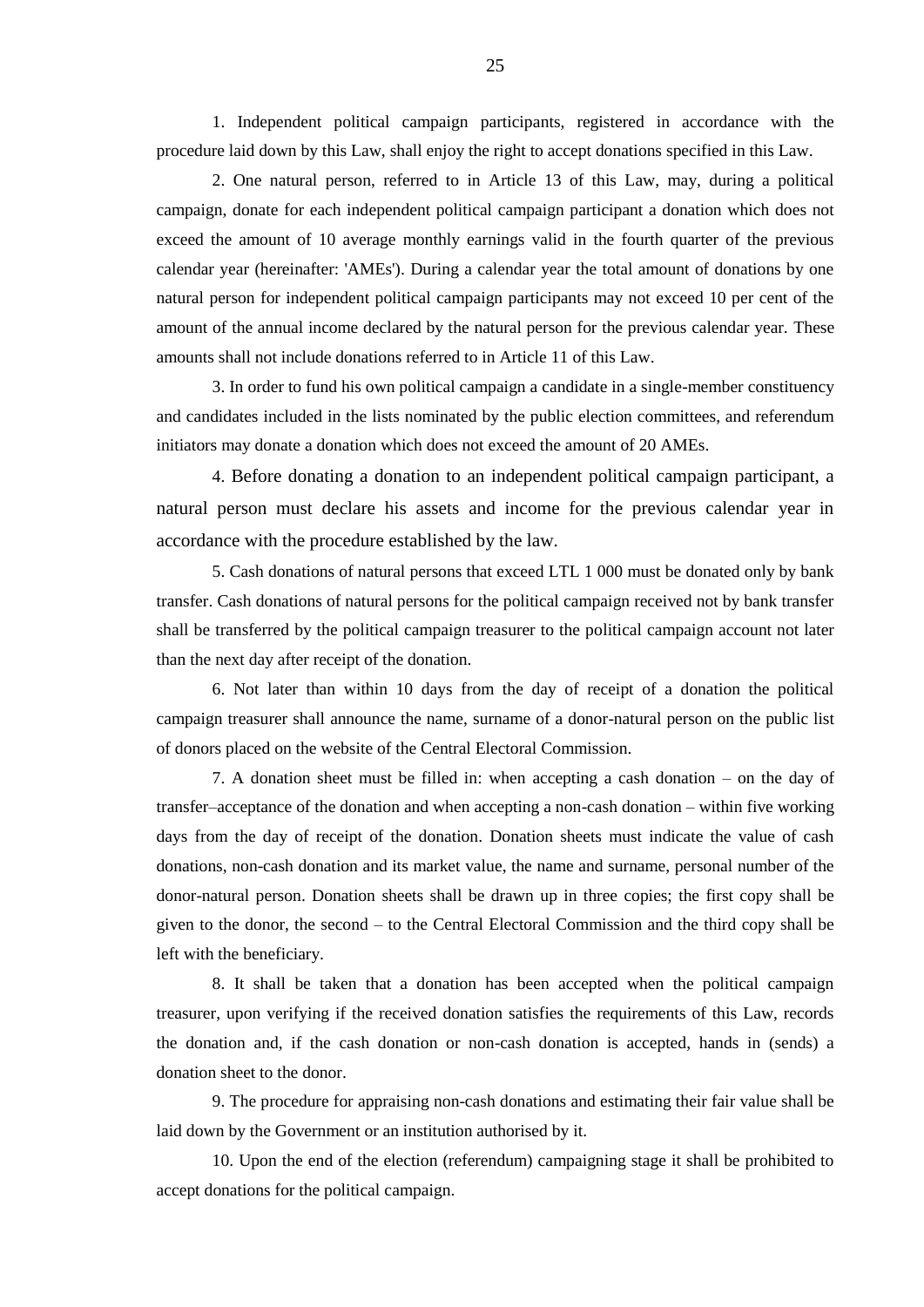1. Independent political campaign participants, registered in accordance with the procedure laid down by this Law, shall enjoy the right to accept donations specified in this Law.

2. One natural person, referred to in Article 13 of this Law, may, during a political campaign, donate for each independent political campaign participant a donation which does not exceed the amount of 10 average monthly earnings valid in the fourth quarter of the previous calendar year (hereinafter: 'AMEs'). During a calendar year the total amount of donations by one natural person for independent political campaign participants may not exceed 10 per cent of the amount of the annual income declared by the natural person for the previous calendar year. These amounts shall not include donations referred to in Article 11 of this Law.

3. In order to fund his own political campaign a candidate in a single-member constituency and candidates included in the lists nominated by the public election committees, and referendum initiators may donate a donation which does not exceed the amount of 20 AMEs.

4. Before donating a donation to an independent political campaign participant, a natural person must declare his assets and income for the previous calendar year in accordance with the procedure established by the law.

5. Cash donations of natural persons that exceed LTL 1 000 must be donated only by bank transfer. Cash donations of natural persons for the political campaign received not by bank transfer shall be transferred by the political campaign treasurer to the political campaign account not later than the next day after receipt of the donation.

6. Not later than within 10 days from the day of receipt of a donation the political campaign treasurer shall announce the name, surname of a donor-natural person on the public list of donors placed on the website of the Central Electoral Commission.

7. A donation sheet must be filled in: when accepting a cash donation – on the day of transfer–acceptance of the donation and when accepting a non-cash donation – within five working days from the day of receipt of the donation. Donation sheets must indicate the value of cash donations, non-cash donation and its market value, the name and surname, personal number of the donor-natural person. Donation sheets shall be drawn up in three copies; the first copy shall be given to the donor, the second – to the Central Electoral Commission and the third copy shall be left with the beneficiary.

8. It shall be taken that a donation has been accepted when the political campaign treasurer, upon verifying if the received donation satisfies the requirements of this Law, records the donation and, if the cash donation or non-cash donation is accepted, hands in (sends) a donation sheet to the donor.

9. The procedure for appraising non-cash donations and estimating their fair value shall be laid down by the Government or an institution authorised by it.

10. Upon the end of the election (referendum) campaigning stage it shall be prohibited to accept donations for the political campaign.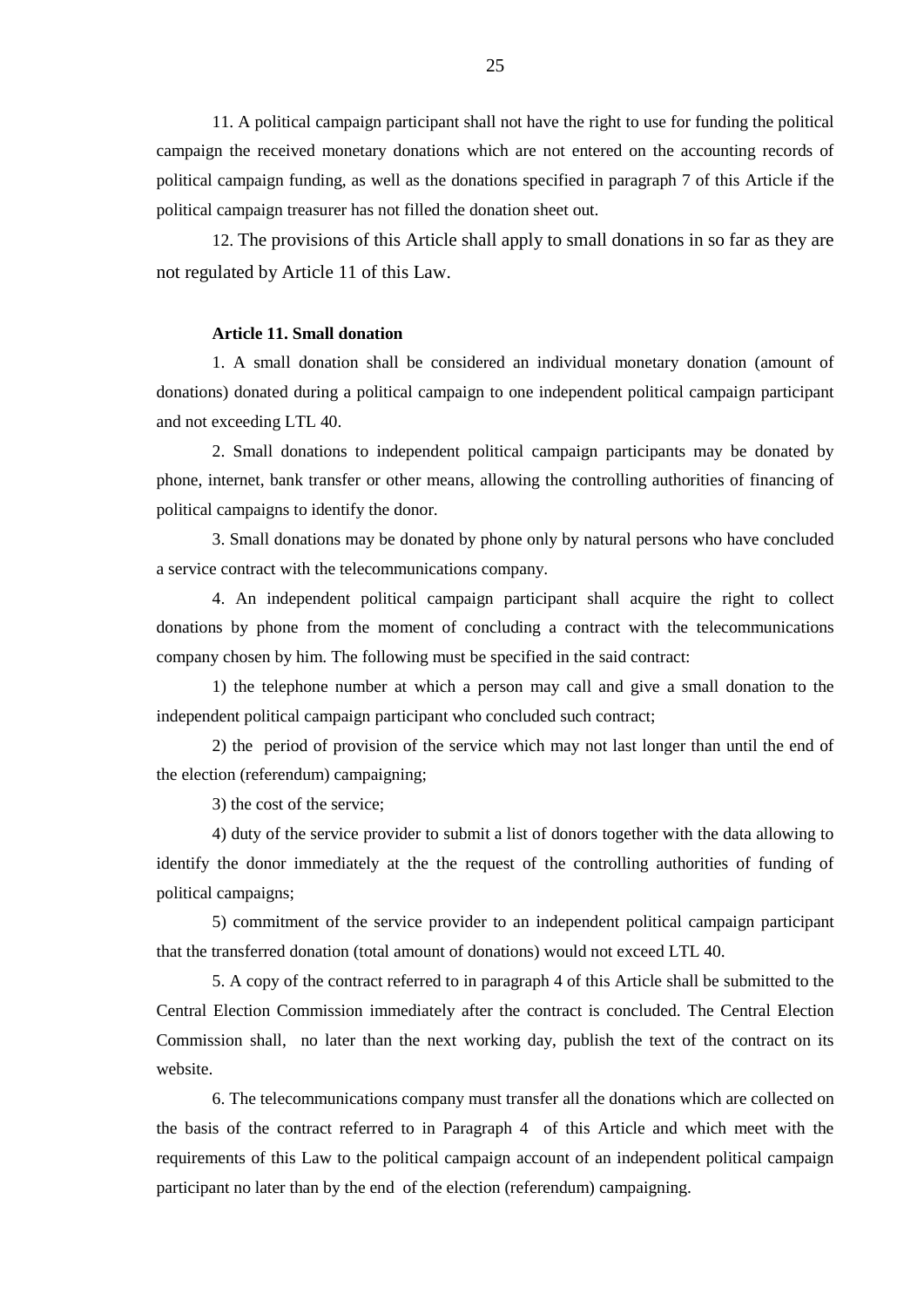11. A political campaign participant shall not have the right to use for funding the political campaign the received monetary donations which are not entered on the accounting records of political campaign funding, as well as the donations specified in paragraph 7 of this Article if the political campaign treasurer has not filled the donation sheet out.

12. The provisions of this Article shall apply to small donations in so far as they are not regulated by Article 11 of this Law.

#### **Article 11. Small donation**

1. A small donation shall be considered an individual monetary donation (amount of donations) donated during a political campaign to one independent political campaign participant and not exceeding LTL 40.

2. Small donations to independent political campaign participants may be donated by phone, internet, bank transfer or other means, allowing the controlling authorities of financing of political campaigns to identify the donor.

3. Small donations may be donated by phone only by natural persons who have concluded a service contract with the telecommunications company.

4. An independent political campaign participant shall acquire the right to collect donations by phone from the moment of concluding a contract with the telecommunications company chosen by him. The following must be specified in the said contract:

1) the telephone number at which a person may call and give a small donation to the independent political campaign participant who concluded such contract;

2) the period of provision of the service which may not last longer than until the end of the election (referendum) campaigning;

3) the cost of the service;

4) duty of the service provider to submit a list of donors together with the data allowing to identify the donor immediately at the the request of the controlling authorities of funding of political campaigns;

5) commitment of the service provider to an independent political campaign participant that the transferred donation (total amount of donations) would not exceed LTL 40.

5. A copy of the contract referred to in paragraph 4 of this Article shall be submitted to the Central Election Commission immediately after the contract is concluded. The Central Election Commission shall, no later than the next working day, publish the text of the contract on its website.

6. The telecommunications company must transfer all the donations which are collected on the basis of the contract referred to in Paragraph 4 of this Article and which meet with the requirements of this Law to the political campaign account of an independent political campaign participant no later than by the end of the election (referendum) campaigning.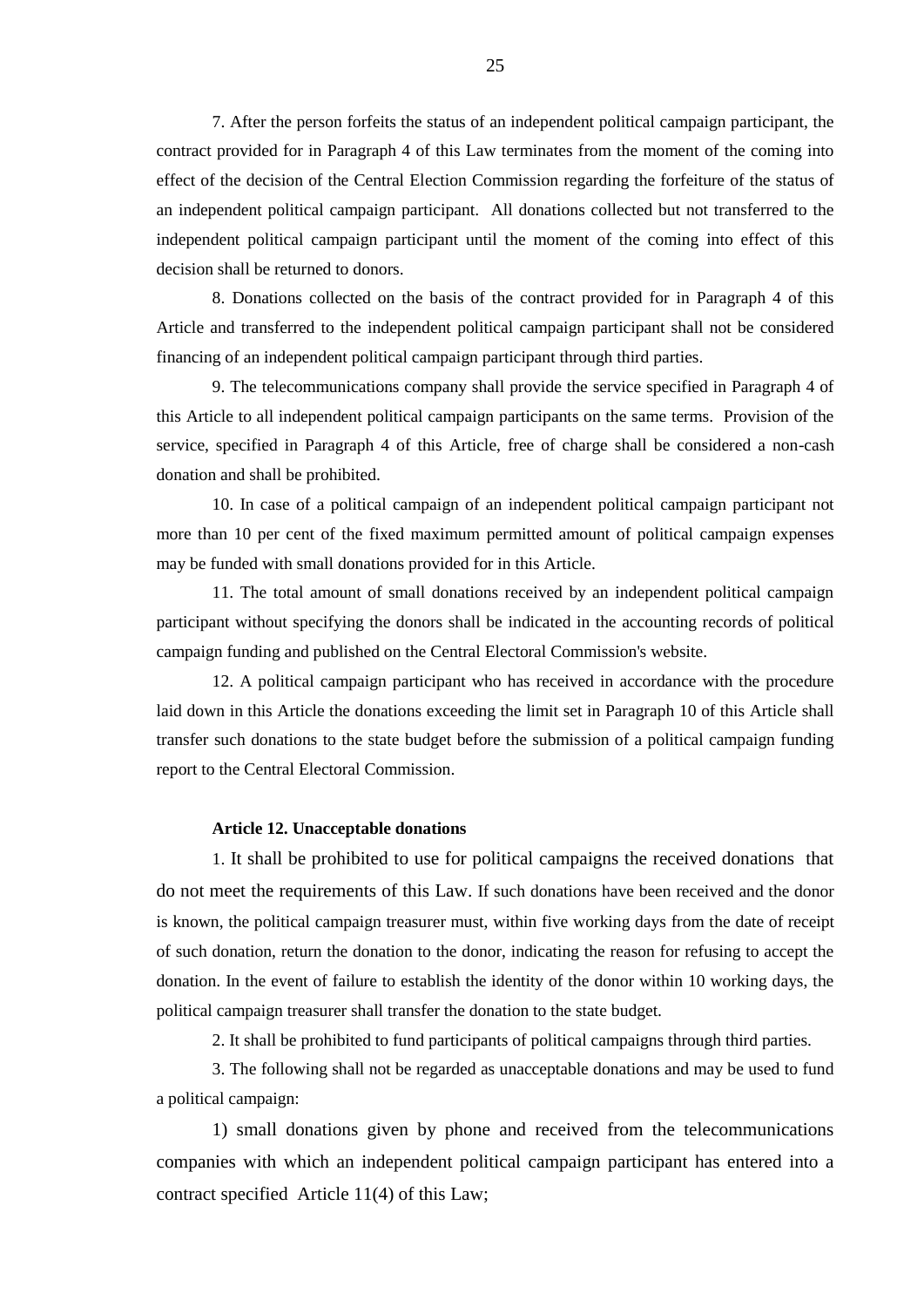7. After the person forfeits the status of an independent political campaign participant, the contract provided for in Paragraph 4 of this Law terminates from the moment of the coming into effect of the decision of the Central Election Commission regarding the forfeiture of the status of an independent political campaign participant. All donations collected but not transferred to the independent political campaign participant until the moment of the coming into effect of this decision shall be returned to donors.

8. Donations collected on the basis of the contract provided for in Paragraph 4 of this Article and transferred to the independent political campaign participant shall not be considered financing of an independent political campaign participant through third parties.

9. The telecommunications company shall provide the service specified in Paragraph 4 of this Article to all independent political campaign participants on the same terms. Provision of the service, specified in Paragraph 4 of this Article, free of charge shall be considered a non-cash donation and shall be prohibited.

10. In case of a political campaign of an independent political campaign participant not more than 10 per cent of the fixed maximum permitted amount of political campaign expenses may be funded with small donations provided for in this Article.

11. The total amount of small donations received by an independent political campaign participant without specifying the donors shall be indicated in the accounting records of political campaign funding and published on the Central Electoral Commission's website.

12. A political campaign participant who has received in accordance with the procedure laid down in this Article the donations exceeding the limit set in Paragraph 10 of this Article shall transfer such donations to the state budget before the submission of a political campaign funding report to the Central Electoral Commission.

#### **Article 12. Unacceptable donations**

1. It shall be prohibited to use for political campaigns the received donations that do not meet the requirements of this Law. If such donations have been received and the donor is known, the political campaign treasurer must, within five working days from the date of receipt of such donation, return the donation to the donor, indicating the reason for refusing to accept the donation. In the event of failure to establish the identity of the donor within 10 working days, the political campaign treasurer shall transfer the donation to the state budget.

2. It shall be prohibited to fund participants of political campaigns through third parties.

3. The following shall not be regarded as unacceptable donations and may be used to fund a political campaign:

1) small donations given by phone and received from the telecommunications companies with which an independent political campaign participant has entered into a contract specified Article 11(4) of this Law;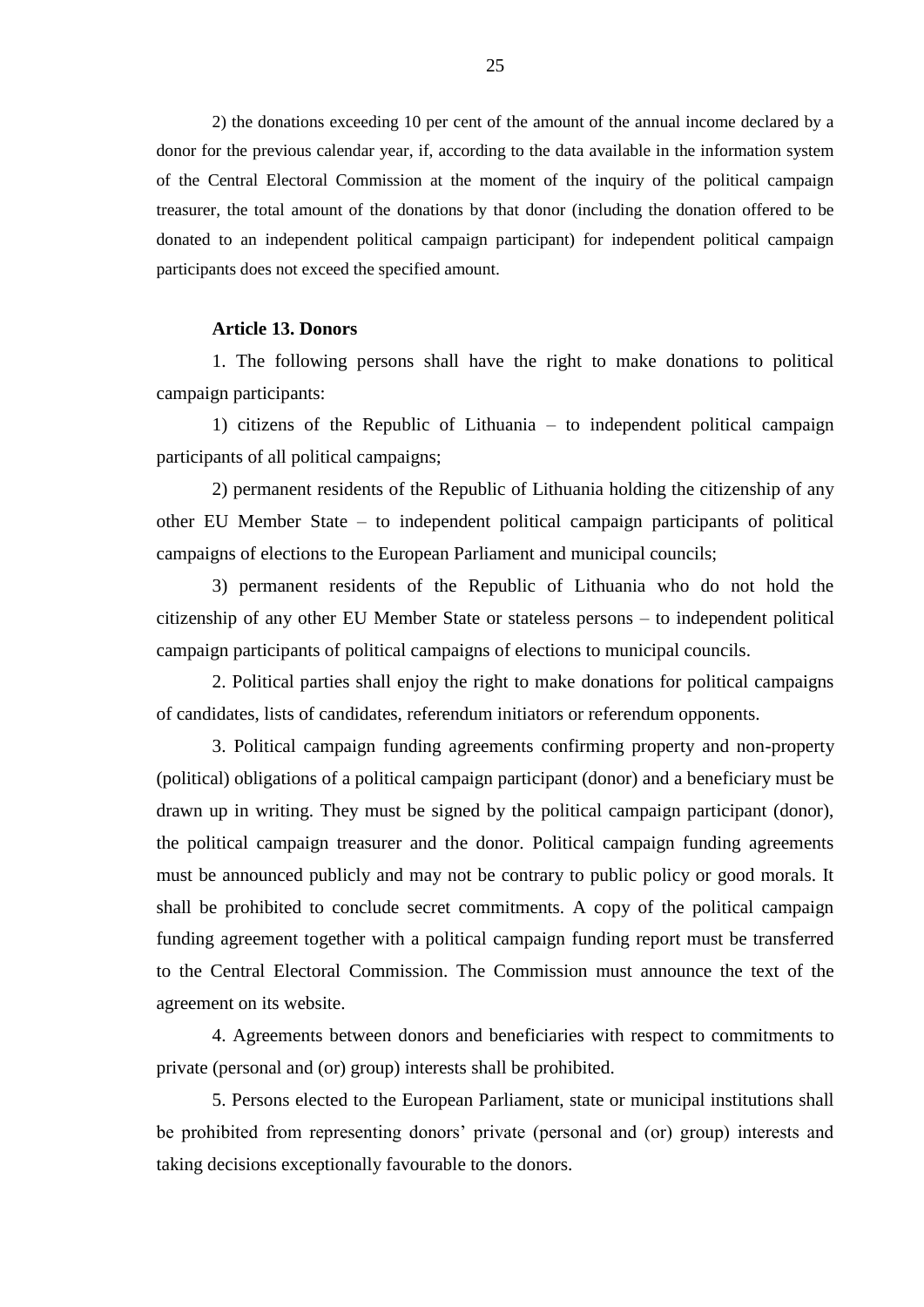2) the donations exceeding 10 per cent of the amount of the annual income declared by a donor for the previous calendar year, if, according to the data available in the information system of the Central Electoral Commission at the moment of the inquiry of the political campaign treasurer, the total amount of the donations by that donor (including the donation offered to be donated to an independent political campaign participant) for independent political campaign participants does not exceed the specified amount.

# **Article 13. Donors**

1. The following persons shall have the right to make donations to political campaign participants:

1) citizens of the Republic of Lithuania – to independent political campaign participants of all political campaigns;

2) permanent residents of the Republic of Lithuania holding the citizenship of any other EU Member State – to independent political campaign participants of political campaigns of elections to the European Parliament and municipal councils;

3) permanent residents of the Republic of Lithuania who do not hold the citizenship of any other EU Member State or stateless persons – to independent political campaign participants of political campaigns of elections to municipal councils.

2. Political parties shall enjoy the right to make donations for political campaigns of candidates, lists of candidates, referendum initiators or referendum opponents.

3. Political campaign funding agreements confirming property and non-property (political) obligations of a political campaign participant (donor) and a beneficiary must be drawn up in writing. They must be signed by the political campaign participant (donor), the political campaign treasurer and the donor. Political campaign funding agreements must be announced publicly and may not be contrary to public policy or good morals. It shall be prohibited to conclude secret commitments. A copy of the political campaign funding agreement together with a political campaign funding report must be transferred to the Central Electoral Commission. The Commission must announce the text of the agreement on its website.

4. Agreements between donors and beneficiaries with respect to commitments to private (personal and (or) group) interests shall be prohibited.

5. Persons elected to the European Parliament, state or municipal institutions shall be prohibited from representing donors' private (personal and (or) group) interests and taking decisions exceptionally favourable to the donors.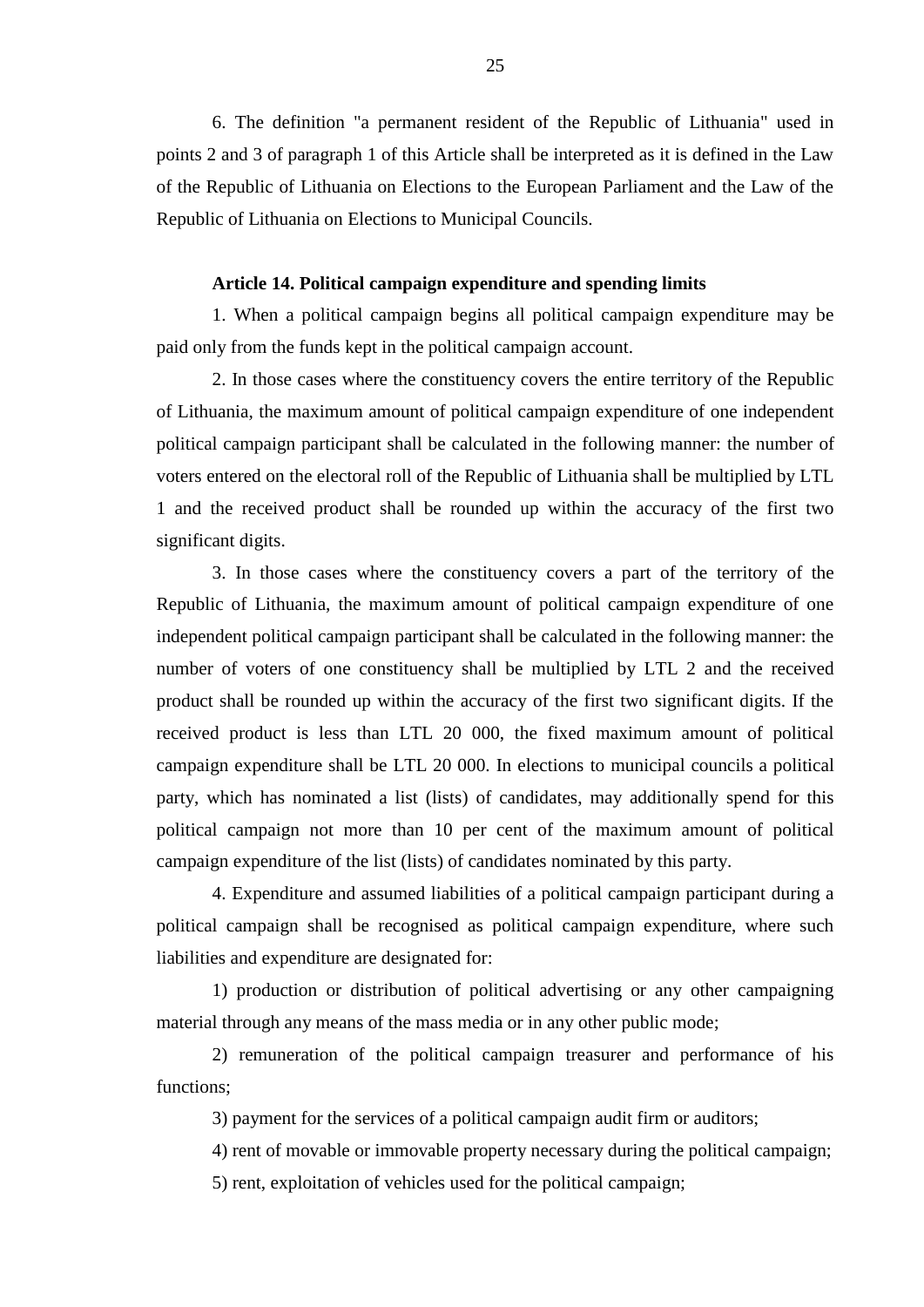6. The definition "a permanent resident of the Republic of Lithuania" used in points 2 and 3 of paragraph 1 of this Article shall be interpreted as it is defined in the Law of the Republic of Lithuania on Elections to the European Parliament and the Law of the Republic of Lithuania on Elections to Municipal Councils.

## **Article 14. Political campaign expenditure and spending limits**

1. When a political campaign begins all political campaign expenditure may be paid only from the funds kept in the political campaign account.

2. In those cases where the constituency covers the entire territory of the Republic of Lithuania, the maximum amount of political campaign expenditure of one independent political campaign participant shall be calculated in the following manner: the number of voters entered on the electoral roll of the Republic of Lithuania shall be multiplied by LTL 1 and the received product shall be rounded up within the accuracy of the first two significant digits.

3. In those cases where the constituency covers a part of the territory of the Republic of Lithuania, the maximum amount of political campaign expenditure of one independent political campaign participant shall be calculated in the following manner: the number of voters of one constituency shall be multiplied by LTL 2 and the received product shall be rounded up within the accuracy of the first two significant digits. If the received product is less than LTL 20 000, the fixed maximum amount of political campaign expenditure shall be LTL 20 000. In elections to municipal councils a political party, which has nominated a list (lists) of candidates, may additionally spend for this political campaign not more than 10 per cent of the maximum amount of political campaign expenditure of the list (lists) of candidates nominated by this party.

4. Expenditure and assumed liabilities of a political campaign participant during a political campaign shall be recognised as political campaign expenditure, where such liabilities and expenditure are designated for:

1) production or distribution of political advertising or any other campaigning material through any means of the mass media or in any other public mode;

2) remuneration of the political campaign treasurer and performance of his functions;

3) payment for the services of a political campaign audit firm or auditors;

4) rent of movable or immovable property necessary during the political campaign;

5) rent, exploitation of vehicles used for the political campaign;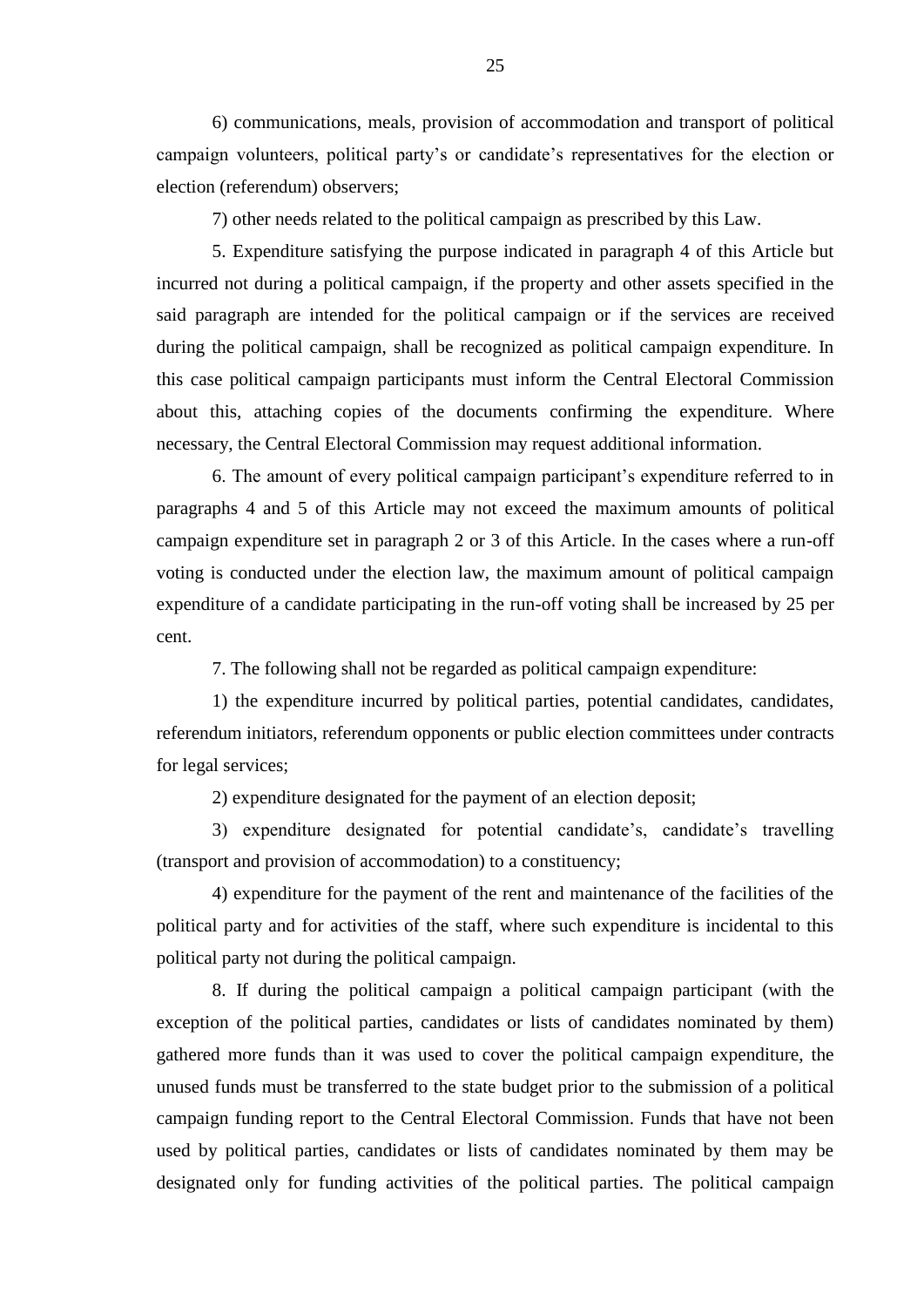6) communications, meals, provision of accommodation and transport of political campaign volunteers, political party's or candidate's representatives for the election or election (referendum) observers;

7) other needs related to the political campaign as prescribed by this Law.

5. Expenditure satisfying the purpose indicated in paragraph 4 of this Article but incurred not during a political campaign, if the property and other assets specified in the said paragraph are intended for the political campaign or if the services are received during the political campaign, shall be recognized as political campaign expenditure. In this case political campaign participants must inform the Central Electoral Commission about this, attaching copies of the documents confirming the expenditure. Where necessary, the Central Electoral Commission may request additional information.

6. The amount of every political campaign participant's expenditure referred to in paragraphs 4 and 5 of this Article may not exceed the maximum amounts of political campaign expenditure set in paragraph 2 or 3 of this Article. In the cases where a run-off voting is conducted under the election law, the maximum amount of political campaign expenditure of a candidate participating in the run-off voting shall be increased by 25 per cent.

7. The following shall not be regarded as political campaign expenditure:

1) the expenditure incurred by political parties, potential candidates, candidates, referendum initiators, referendum opponents or public election committees under contracts for legal services;

2) expenditure designated for the payment of an election deposit;

3) expenditure designated for potential candidate's, candidate's travelling (transport and provision of accommodation) to a constituency;

4) expenditure for the payment of the rent and maintenance of the facilities of the political party and for activities of the staff, where such expenditure is incidental to this political party not during the political campaign.

8. If during the political campaign a political campaign participant (with the exception of the political parties, candidates or lists of candidates nominated by them) gathered more funds than it was used to cover the political campaign expenditure, the unused funds must be transferred to the state budget prior to the submission of a political campaign funding report to the Central Electoral Commission. Funds that have not been used by political parties, candidates or lists of candidates nominated by them may be designated only for funding activities of the political parties. The political campaign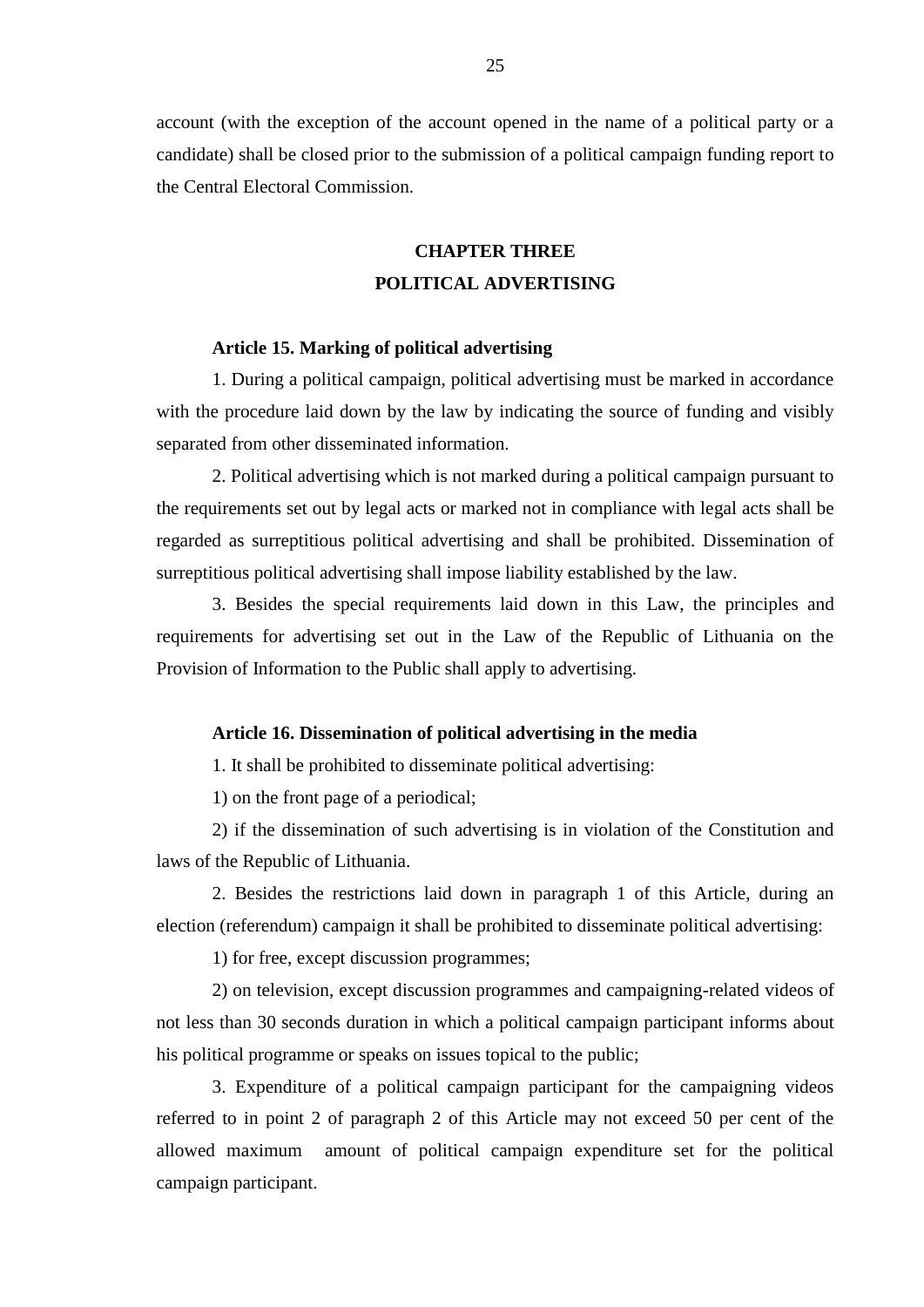account (with the exception of the account opened in the name of a political party or a candidate) shall be closed prior to the submission of a political campaign funding report to the Central Electoral Commission.

# **CHAPTER THREE POLITICAL ADVERTISING**

## **Article 15. Marking of political advertising**

1. During a political campaign, political advertising must be marked in accordance with the procedure laid down by the law by indicating the source of funding and visibly separated from other disseminated information.

2. Political advertising which is not marked during a political campaign pursuant to the requirements set out by legal acts or marked not in compliance with legal acts shall be regarded as surreptitious political advertising and shall be prohibited. Dissemination of surreptitious political advertising shall impose liability established by the law.

3. Besides the special requirements laid down in this Law, the principles and requirements for advertising set out in the Law of the Republic of Lithuania on the Provision of Information to the Public shall apply to advertising.

# **Article 16. Dissemination of political advertising in the media**

1. It shall be prohibited to disseminate political advertising:

1) on the front page of a periodical;

2) if the dissemination of such advertising is in violation of the Constitution and laws of the Republic of Lithuania.

2. Besides the restrictions laid down in paragraph 1 of this Article, during an election (referendum) campaign it shall be prohibited to disseminate political advertising:

1) for free, except discussion programmes;

2) on television, except discussion programmes and campaigning-related videos of not less than 30 seconds duration in which a political campaign participant informs about his political programme or speaks on issues topical to the public;

3. Expenditure of a political campaign participant for the campaigning videos referred to in point 2 of paragraph 2 of this Article may not exceed 50 per cent of the allowed maximum amount of political campaign expenditure set for the political campaign participant.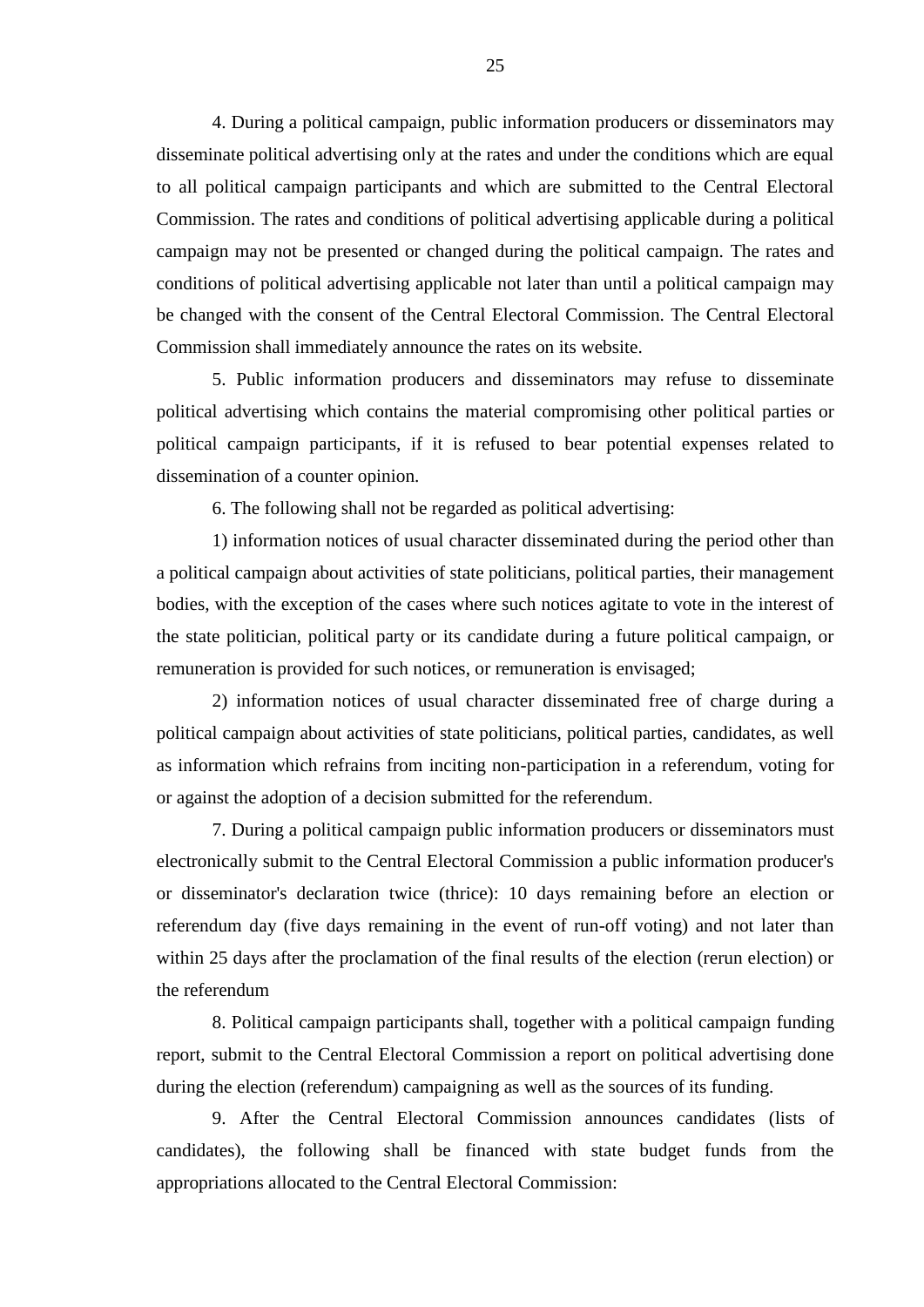4. During a political campaign, public information producers or disseminators may disseminate political advertising only at the rates and under the conditions which are equal to all political campaign participants and which are submitted to the Central Electoral Commission. The rates and conditions of political advertising applicable during a political campaign may not be presented or changed during the political campaign. The rates and conditions of political advertising applicable not later than until a political campaign may be changed with the consent of the Central Electoral Commission. The Central Electoral Commission shall immediately announce the rates on its website.

5. Public information producers and disseminators may refuse to disseminate political advertising which contains the material compromising other political parties or political campaign participants, if it is refused to bear potential expenses related to dissemination of a counter opinion.

6. The following shall not be regarded as political advertising:

1) information notices of usual character disseminated during the period other than a political campaign about activities of state politicians, political parties, their management bodies, with the exception of the cases where such notices agitate to vote in the interest of the state politician, political party or its candidate during a future political campaign, or remuneration is provided for such notices, or remuneration is envisaged;

2) information notices of usual character disseminated free of charge during a political campaign about activities of state politicians, political parties, candidates, as well as information which refrains from inciting non-participation in a referendum, voting for or against the adoption of a decision submitted for the referendum.

7. During a political campaign public information producers or disseminators must electronically submit to the Central Electoral Commission a public information producer's or disseminator's declaration twice (thrice): 10 days remaining before an election or referendum day (five days remaining in the event of run-off voting) and not later than within 25 days after the proclamation of the final results of the election (rerun election) or the referendum

8. Political campaign participants shall, together with a political campaign funding report, submit to the Central Electoral Commission a report on political advertising done during the election (referendum) campaigning as well as the sources of its funding.

9. After the Central Electoral Commission announces candidates (lists of candidates), the following shall be financed with state budget funds from the appropriations allocated to the Central Electoral Commission: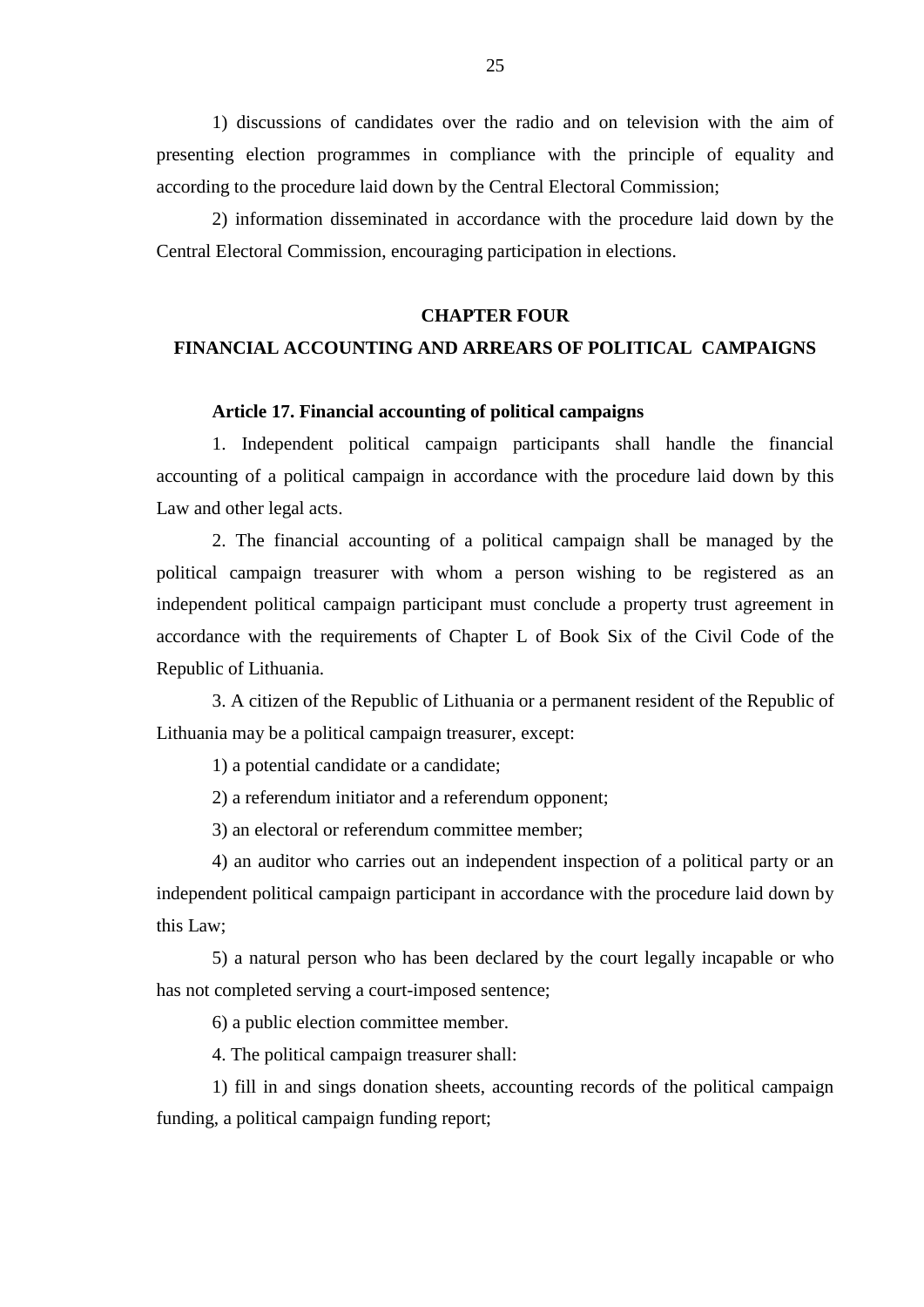1) discussions of candidates over the radio and on television with the aim of presenting election programmes in compliance with the principle of equality and according to the procedure laid down by the Central Electoral Commission;

2) information disseminated in accordance with the procedure laid down by the Central Electoral Commission, encouraging participation in elections.

# **CHAPTER FOUR**

# **FINANCIAL ACCOUNTING AND ARREARS OF POLITICAL CAMPAIGNS**

# **Article 17. Financial accounting of political campaigns**

1. Independent political campaign participants shall handle the financial accounting of a political campaign in accordance with the procedure laid down by this Law and other legal acts.

2. The financial accounting of a political campaign shall be managed by the political campaign treasurer with whom a person wishing to be registered as an independent political campaign participant must conclude a property trust agreement in accordance with the requirements of Chapter L of Book Six of the Civil Code of the Republic of Lithuania.

3. A citizen of the Republic of Lithuania or a permanent resident of the Republic of Lithuania may be a political campaign treasurer, except:

1) a potential candidate or a candidate;

2) a referendum initiator and a referendum opponent;

3) an electoral or referendum committee member;

4) an auditor who carries out an independent inspection of a political party or an independent political campaign participant in accordance with the procedure laid down by this Law;

5) a natural person who has been declared by the court legally incapable or who has not completed serving a court-imposed sentence;

6) a public election committee member.

4. The political campaign treasurer shall:

1) fill in and sings donation sheets, accounting records of the political campaign funding, a political campaign funding report;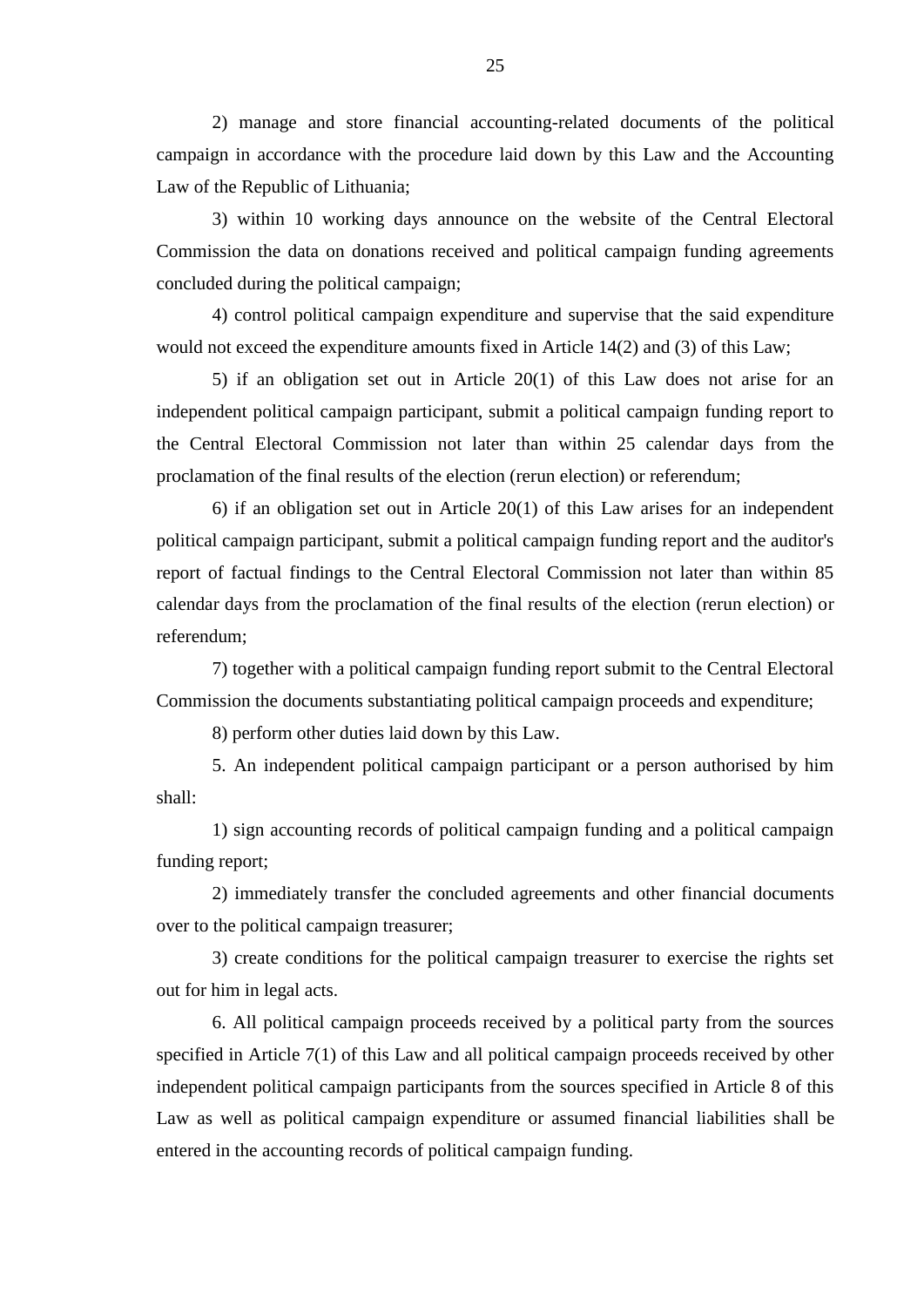2) manage and store financial accounting-related documents of the political campaign in accordance with the procedure laid down by this Law and the Accounting Law of the Republic of Lithuania;

3) within 10 working days announce on the website of the Central Electoral Commission the data on donations received and political campaign funding agreements concluded during the political campaign;

4) control political campaign expenditure and supervise that the said expenditure would not exceed the expenditure amounts fixed in Article 14(2) and (3) of this Law;

5) if an obligation set out in Article 20(1) of this Law does not arise for an independent political campaign participant, submit a political campaign funding report to the Central Electoral Commission not later than within 25 calendar days from the proclamation of the final results of the election (rerun election) or referendum;

6) if an obligation set out in Article 20(1) of this Law arises for an independent political campaign participant, submit a political campaign funding report and the auditor's report of factual findings to the Central Electoral Commission not later than within 85 calendar days from the proclamation of the final results of the election (rerun election) or referendum;

7) together with a political campaign funding report submit to the Central Electoral Commission the documents substantiating political campaign proceeds and expenditure;

8) perform other duties laid down by this Law.

5. An independent political campaign participant or a person authorised by him shall:

1) sign accounting records of political campaign funding and a political campaign funding report;

2) immediately transfer the concluded agreements and other financial documents over to the political campaign treasurer;

3) create conditions for the political campaign treasurer to exercise the rights set out for him in legal acts.

6. All political campaign proceeds received by a political party from the sources specified in Article 7(1) of this Law and all political campaign proceeds received by other independent political campaign participants from the sources specified in Article 8 of this Law as well as political campaign expenditure or assumed financial liabilities shall be entered in the accounting records of political campaign funding.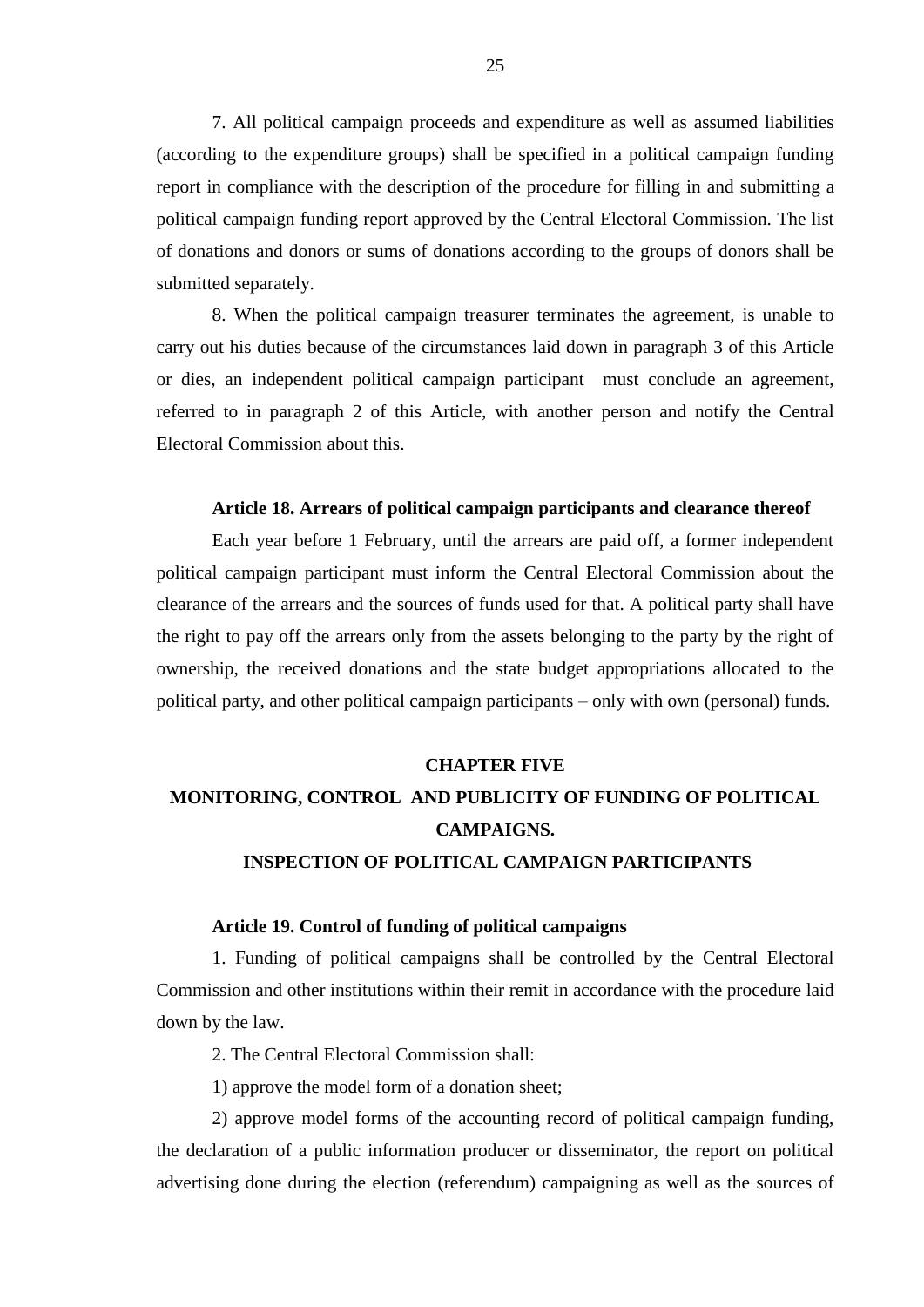7. All political campaign proceeds and expenditure as well as assumed liabilities (according to the expenditure groups) shall be specified in a political campaign funding report in compliance with the description of the procedure for filling in and submitting a political campaign funding report approved by the Central Electoral Commission. The list of donations and donors or sums of donations according to the groups of donors shall be submitted separately.

8. When the political campaign treasurer terminates the agreement, is unable to carry out his duties because of the circumstances laid down in paragraph 3 of this Article or dies, an independent political campaign participant must conclude an agreement, referred to in paragraph 2 of this Article, with another person and notify the Central Electoral Commission about this.

# **Article 18. Arrears of political campaign participants and clearance thereof**

Each year before 1 February, until the arrears are paid off, a former independent political campaign participant must inform the Central Electoral Commission about the clearance of the arrears and the sources of funds used for that. A political party shall have the right to pay off the arrears only from the assets belonging to the party by the right of ownership, the received donations and the state budget appropriations allocated to the political party, and other political campaign participants – only with own (personal) funds.

#### **CHAPTER FIVE**

# **MONITORING, CONTROL AND PUBLICITY OF FUNDING OF POLITICAL CAMPAIGNS.**

# **INSPECTION OF POLITICAL CAMPAIGN PARTICIPANTS**

# **Article 19. Control of funding of political campaigns**

1. Funding of political campaigns shall be controlled by the Central Electoral Commission and other institutions within their remit in accordance with the procedure laid down by the law.

2. The Central Electoral Commission shall:

1) approve the model form of a donation sheet;

2) approve model forms of the accounting record of political campaign funding, the declaration of a public information producer or disseminator, the report on political advertising done during the election (referendum) campaigning as well as the sources of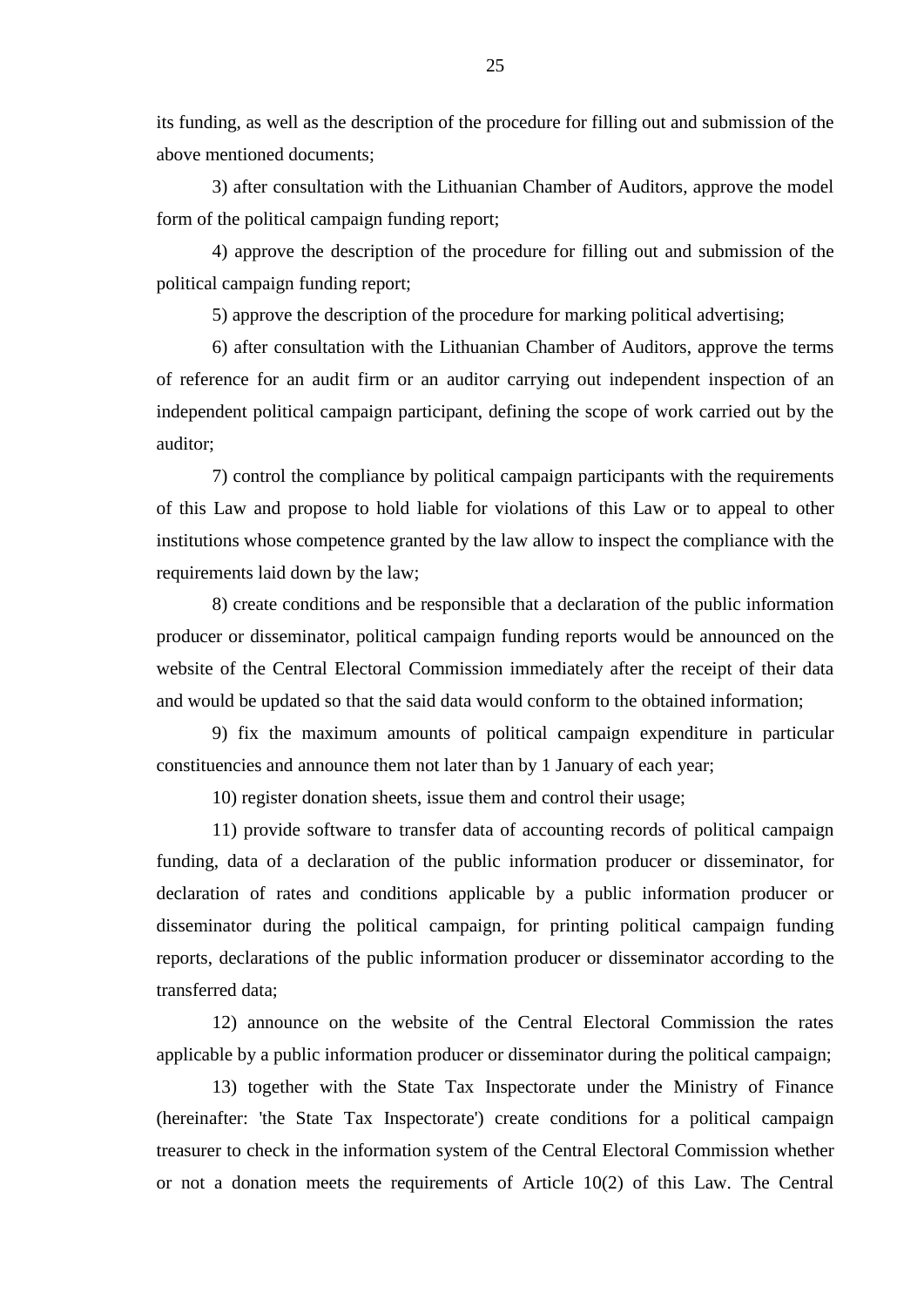its funding, as well as the description of the procedure for filling out and submission of the above mentioned documents;

3) after consultation with the Lithuanian Chamber of Auditors, approve the model form of the political campaign funding report;

4) approve the description of the procedure for filling out and submission of the political campaign funding report;

5) approve the description of the procedure for marking political advertising;

6) after consultation with the Lithuanian Chamber of Auditors, approve the terms of reference for an audit firm or an auditor carrying out independent inspection of an independent political campaign participant, defining the scope of work carried out by the auditor;

7) control the compliance by political campaign participants with the requirements of this Law and propose to hold liable for violations of this Law or to appeal to other institutions whose competence granted by the law allow to inspect the compliance with the requirements laid down by the law;

8) create conditions and be responsible that a declaration of the public information producer or disseminator, political campaign funding reports would be announced on the website of the Central Electoral Commission immediately after the receipt of their data and would be updated so that the said data would conform to the obtained information;

9) fix the maximum amounts of political campaign expenditure in particular constituencies and announce them not later than by 1 January of each year;

10) register donation sheets, issue them and control their usage;

11) provide software to transfer data of accounting records of political campaign funding, data of a declaration of the public information producer or disseminator, for declaration of rates and conditions applicable by a public information producer or disseminator during the political campaign, for printing political campaign funding reports, declarations of the public information producer or disseminator according to the transferred data;

12) announce on the website of the Central Electoral Commission the rates applicable by a public information producer or disseminator during the political campaign;

13) together with the State Tax Inspectorate under the Ministry of Finance (hereinafter: 'the State Tax Inspectorate') create conditions for a political campaign treasurer to check in the information system of the Central Electoral Commission whether or not a donation meets the requirements of Article 10(2) of this Law. The Central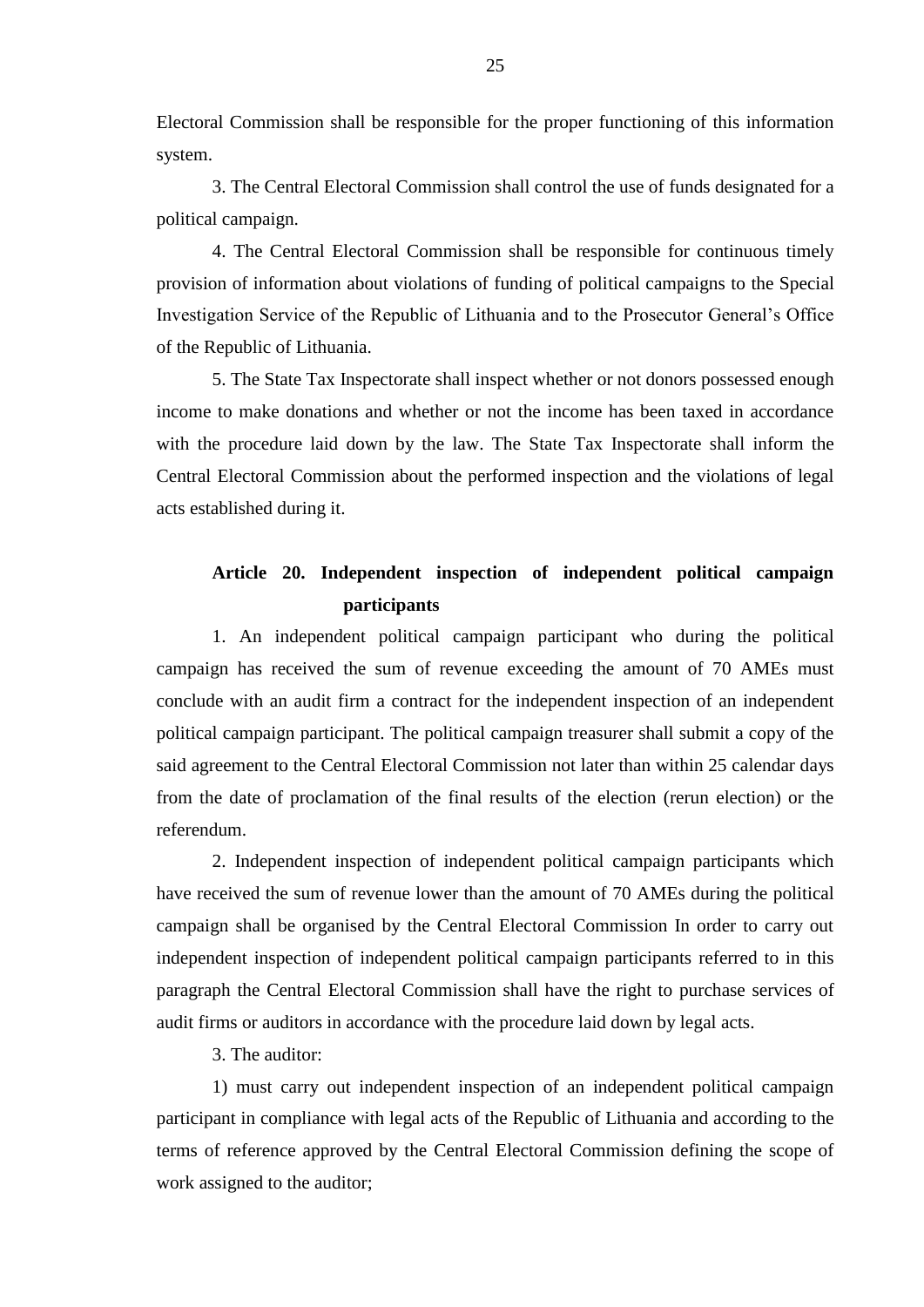Electoral Commission shall be responsible for the proper functioning of this information system.

3. The Central Electoral Commission shall control the use of funds designated for a political campaign.

4. The Central Electoral Commission shall be responsible for continuous timely provision of information about violations of funding of political campaigns to the Special Investigation Service of the Republic of Lithuania and to the Prosecutor General's Office of the Republic of Lithuania.

5. The State Tax Inspectorate shall inspect whether or not donors possessed enough income to make donations and whether or not the income has been taxed in accordance with the procedure laid down by the law. The State Tax Inspectorate shall inform the Central Electoral Commission about the performed inspection and the violations of legal acts established during it.

# **Article 20. Independent inspection of independent political campaign participants**

1. An independent political campaign participant who during the political campaign has received the sum of revenue exceeding the amount of 70 AMEs must conclude with an audit firm a contract for the independent inspection of an independent political campaign participant. The political campaign treasurer shall submit a copy of the said agreement to the Central Electoral Commission not later than within 25 calendar days from the date of proclamation of the final results of the election (rerun election) or the referendum.

2. Independent inspection of independent political campaign participants which have received the sum of revenue lower than the amount of 70 AMEs during the political campaign shall be organised by the Central Electoral Commission In order to carry out independent inspection of independent political campaign participants referred to in this paragraph the Central Electoral Commission shall have the right to purchase services of audit firms or auditors in accordance with the procedure laid down by legal acts.

3. The auditor:

1) must carry out independent inspection of an independent political campaign participant in compliance with legal acts of the Republic of Lithuania and according to the terms of reference approved by the Central Electoral Commission defining the scope of work assigned to the auditor;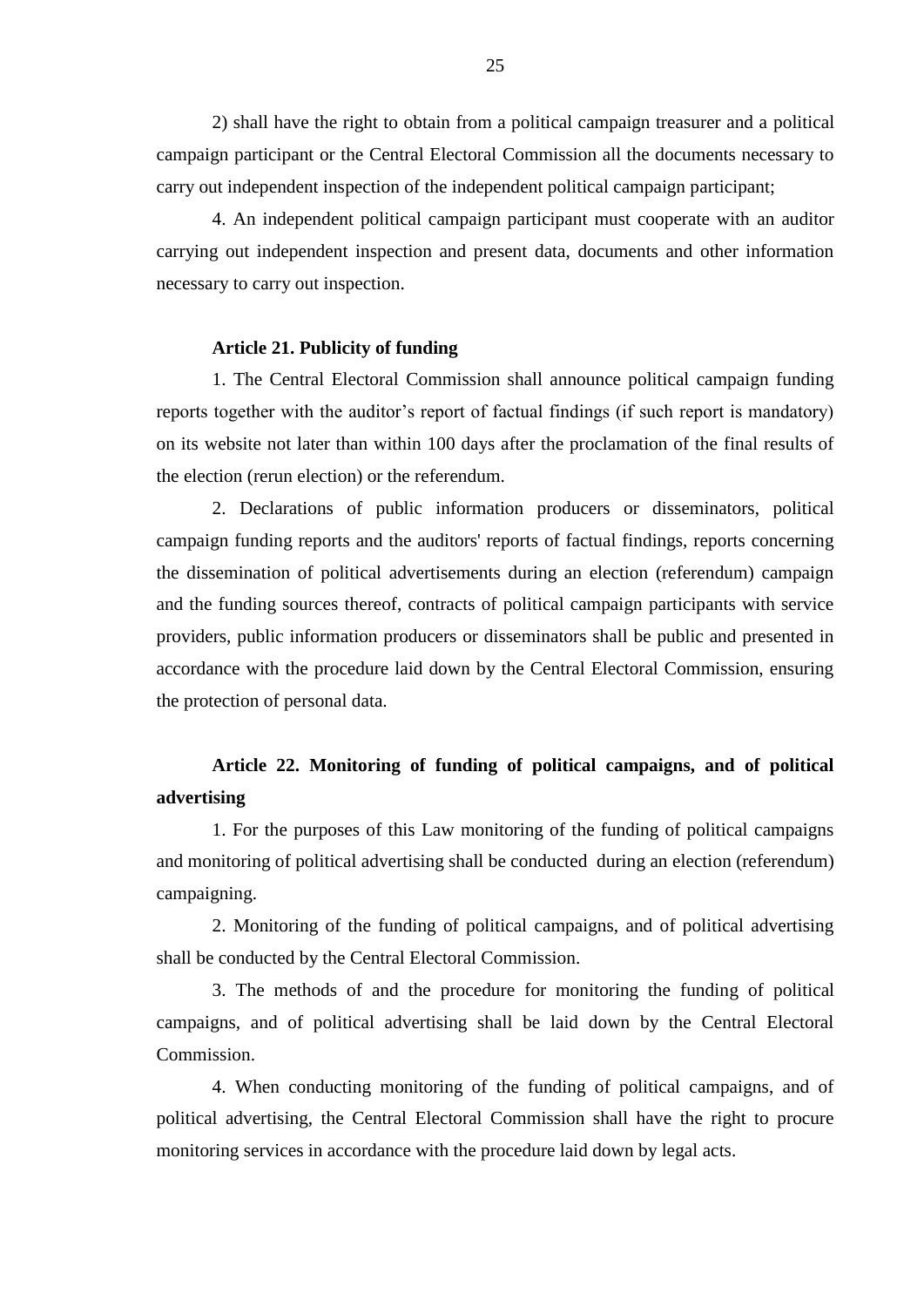2) shall have the right to obtain from a political campaign treasurer and a political campaign participant or the Central Electoral Commission all the documents necessary to carry out independent inspection of the independent political campaign participant;

4. An independent political campaign participant must cooperate with an auditor carrying out independent inspection and present data, documents and other information necessary to carry out inspection.

## **Article 21. Publicity of funding**

1. The Central Electoral Commission shall announce political campaign funding reports together with the auditor's report of factual findings (if such report is mandatory) on its website not later than within 100 days after the proclamation of the final results of the election (rerun election) or the referendum.

2. Declarations of public information producers or disseminators, political campaign funding reports and the auditors' reports of factual findings, reports concerning the dissemination of political advertisements during an election (referendum) campaign and the funding sources thereof, contracts of political campaign participants with service providers, public information producers or disseminators shall be public and presented in accordance with the procedure laid down by the Central Electoral Commission, ensuring the protection of personal data.

# **Article 22. Monitoring of funding of political campaigns, and of political advertising**

1. For the purposes of this Law monitoring of the funding of political campaigns and monitoring of political advertising shall be conducted during an election (referendum) campaigning.

2. Monitoring of the funding of political campaigns, and of political advertising shall be conducted by the Central Electoral Commission.

3. The methods of and the procedure for monitoring the funding of political campaigns, and of political advertising shall be laid down by the Central Electoral Commission.

4. When conducting monitoring of the funding of political campaigns, and of political advertising, the Central Electoral Commission shall have the right to procure monitoring services in accordance with the procedure laid down by legal acts.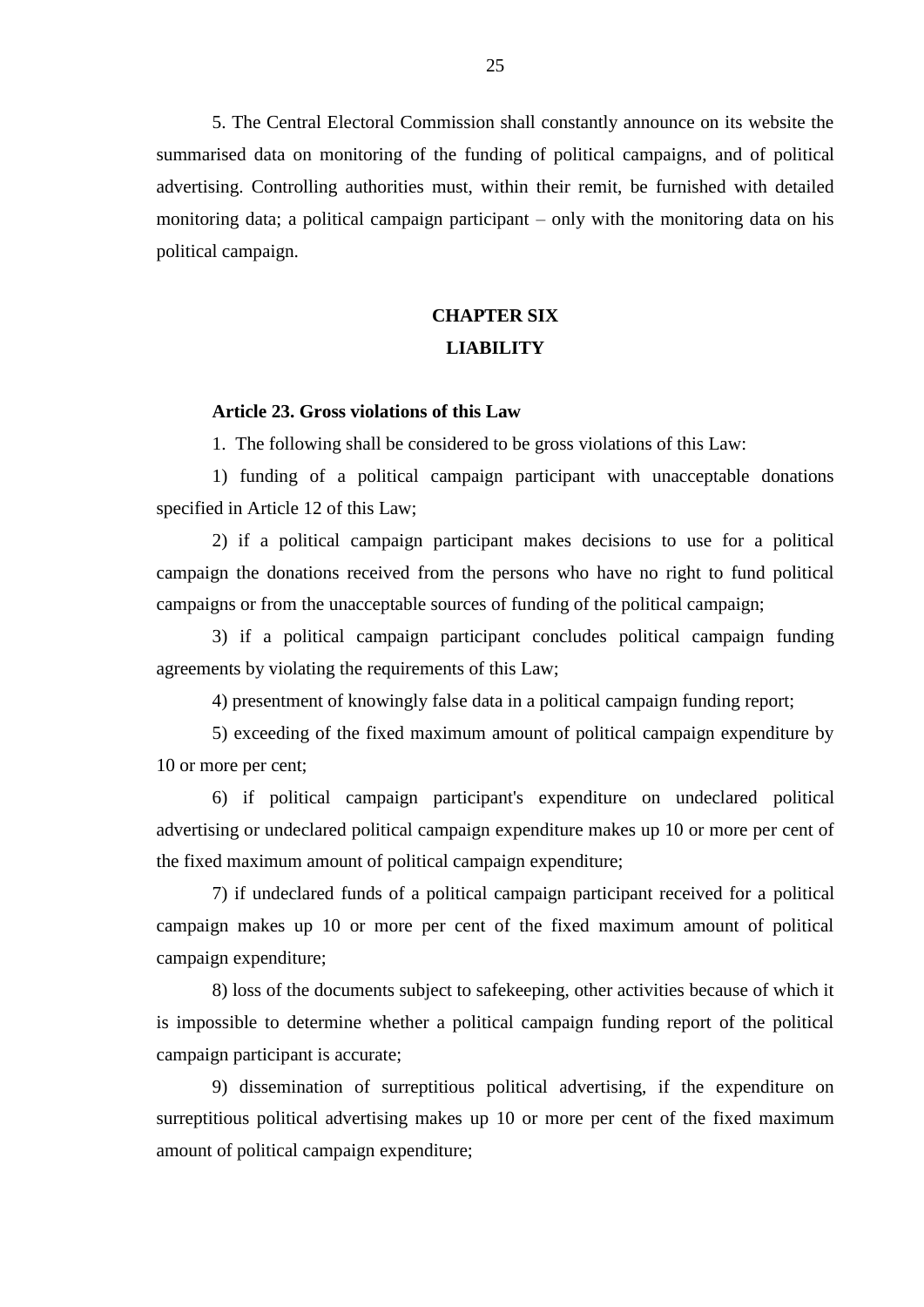5. The Central Electoral Commission shall constantly announce on its website the summarised data on monitoring of the funding of political campaigns, and of political advertising. Controlling authorities must, within their remit, be furnished with detailed monitoring data; a political campaign participant – only with the monitoring data on his political campaign.

# **CHAPTER SIX LIABILITY**

# **Article 23. Gross violations of this Law**

1. The following shall be considered to be gross violations of this Law:

1) funding of a political campaign participant with unacceptable donations specified in Article 12 of this Law;

2) if a political campaign participant makes decisions to use for a political campaign the donations received from the persons who have no right to fund political campaigns or from the unacceptable sources of funding of the political campaign;

3) if a political campaign participant concludes political campaign funding agreements by violating the requirements of this Law;

4) presentment of knowingly false data in a political campaign funding report;

5) exceeding of the fixed maximum amount of political campaign expenditure by 10 or more per cent;

6) if political campaign participant's expenditure on undeclared political advertising or undeclared political campaign expenditure makes up 10 or more per cent of the fixed maximum amount of political campaign expenditure;

7) if undeclared funds of a political campaign participant received for a political campaign makes up 10 or more per cent of the fixed maximum amount of political campaign expenditure;

8) loss of the documents subject to safekeeping, other activities because of which it is impossible to determine whether a political campaign funding report of the political campaign participant is accurate;

9) dissemination of surreptitious political advertising, if the expenditure on surreptitious political advertising makes up 10 or more per cent of the fixed maximum amount of political campaign expenditure;